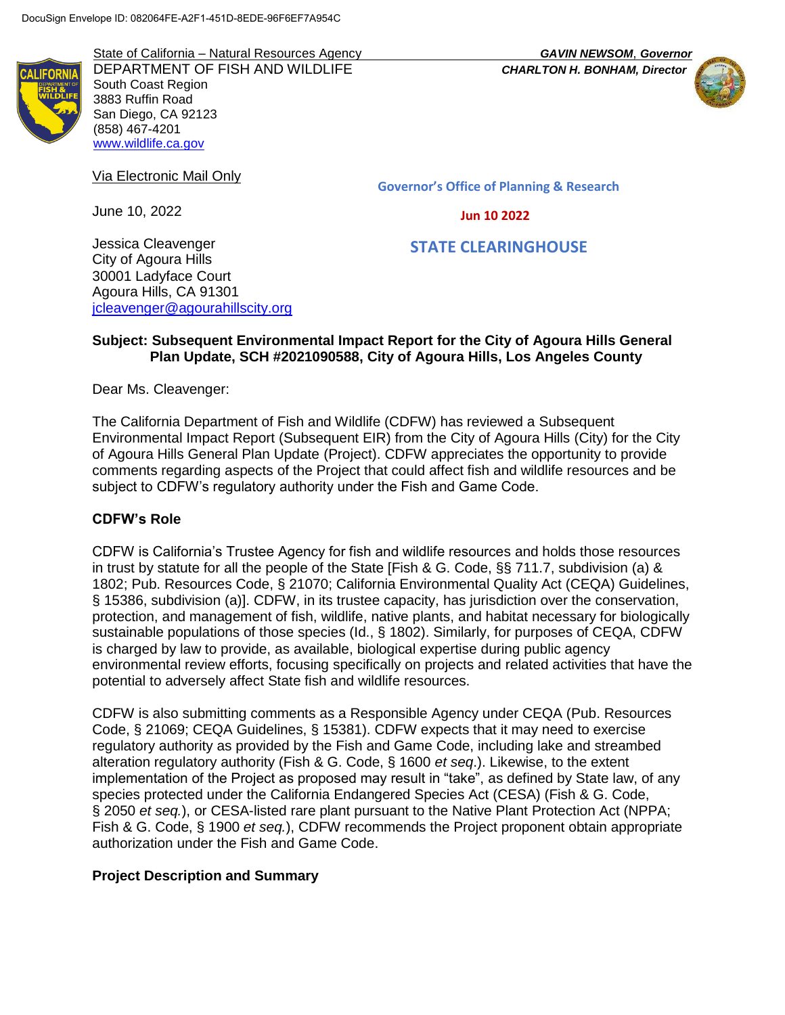State of California – Natural Resources Agency *GAVIN NEWSOM*, *Governor* DEPARTMENT OF FISH AND WILDLIFE *CHARLTON H. BONHAM, Director* South Coast Region 3883 Ruffin Road San Diego, CA 92123 (858) 467-4201 [www.wildlife.ca.gov](http://www.wildlife.ca.gov/)



Via Electronic Mail Only

June 10, 2022

**Governor's Office of Planning & Research**

 **Jun 10 2022**

# **STATE CLEARINGHOUSE**

Jessica Cleavenger City of Agoura Hills 30001 Ladyface Court Agoura Hills, CA 91301 [jcleavenger@agourahillscity.org](mailto:jcleavenger@agourahillscity.org)

#### **Subject: Subsequent Environmental Impact Report for the City of Agoura Hills General Plan Update, SCH #2021090588, City of Agoura Hills, Los Angeles County**

Dear Ms. Cleavenger:

The California Department of Fish and Wildlife (CDFW) has reviewed a Subsequent Environmental Impact Report (Subsequent EIR) from the City of Agoura Hills (City) for the City of Agoura Hills General Plan Update (Project). CDFW appreciates the opportunity to provide comments regarding aspects of the Project that could affect fish and wildlife resources and be subject to CDFW's regulatory authority under the Fish and Game Code.

## **CDFW's Role**

CDFW is California's Trustee Agency for fish and wildlife resources and holds those resources in trust by statute for all the people of the State [Fish & G. Code, §§ 711.7, subdivision (a) & 1802; Pub. Resources Code, § 21070; California Environmental Quality Act (CEQA) Guidelines, § 15386, subdivision (a)]. CDFW, in its trustee capacity, has jurisdiction over the conservation, protection, and management of fish, wildlife, native plants, and habitat necessary for biologically sustainable populations of those species (Id., § 1802). Similarly, for purposes of CEQA, CDFW is charged by law to provide, as available, biological expertise during public agency environmental review efforts, focusing specifically on projects and related activities that have the potential to adversely affect State fish and wildlife resources.

CDFW is also submitting comments as a Responsible Agency under CEQA (Pub. Resources Code, § 21069; CEQA Guidelines, § 15381). CDFW expects that it may need to exercise regulatory authority as provided by the Fish and Game Code, including lake and streambed alteration regulatory authority (Fish & G. Code, § 1600 *et seq*.). Likewise, to the extent implementation of the Project as proposed may result in "take", as defined by State law, of any species protected under the California Endangered Species Act (CESA) (Fish & G. Code, § 2050 *et seq.*), or CESA-listed rare plant pursuant to the Native Plant Protection Act (NPPA; Fish & G. Code, § 1900 *et seq.*), CDFW recommends the Project proponent obtain appropriate authorization under the Fish and Game Code.

## **Project Description and Summary**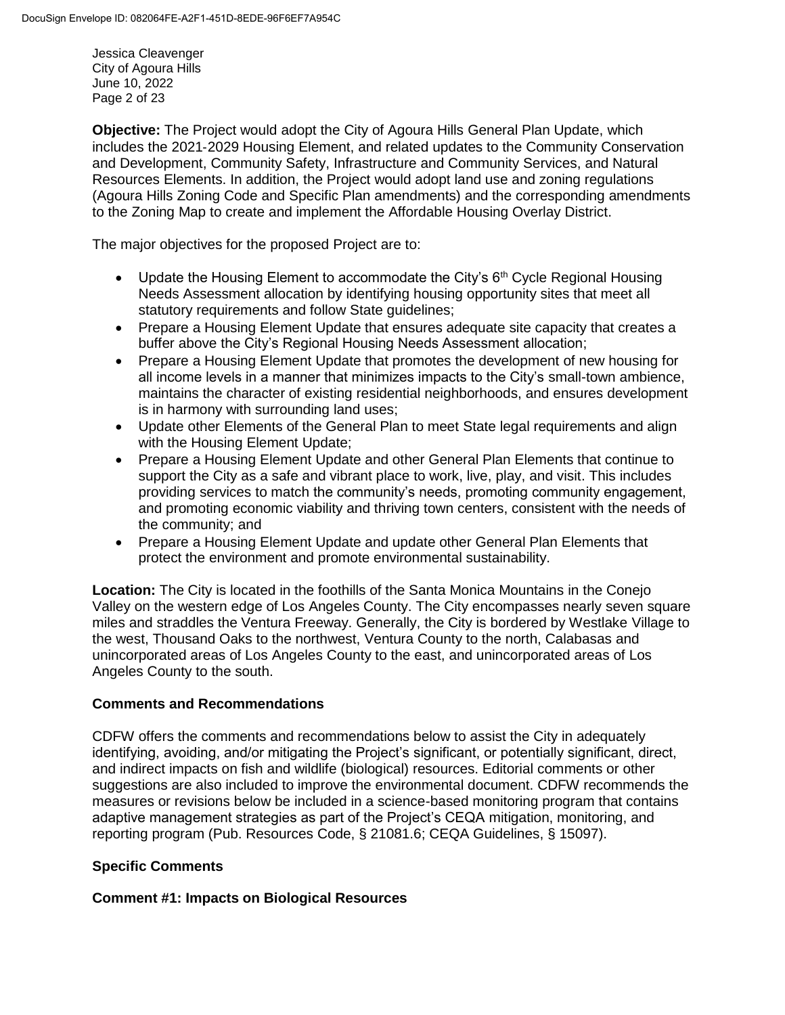Jessica Cleavenger City of Agoura Hills June 10, 2022 Page 2 of 23

**Objective:** The Project would adopt the City of Agoura Hills General Plan Update, which includes the 2021‐2029 Housing Element, and related updates to the Community Conservation and Development, Community Safety, Infrastructure and Community Services, and Natural Resources Elements. In addition, the Project would adopt land use and zoning regulations (Agoura Hills Zoning Code and Specific Plan amendments) and the corresponding amendments to the Zoning Map to create and implement the Affordable Housing Overlay District.

The major objectives for the proposed Project are to:

- Update the Housing Element to accommodate the City's  $6<sup>th</sup>$  Cycle Regional Housing Needs Assessment allocation by identifying housing opportunity sites that meet all statutory requirements and follow State guidelines;
- Prepare a Housing Element Update that ensures adequate site capacity that creates a buffer above the City's Regional Housing Needs Assessment allocation;
- Prepare a Housing Element Update that promotes the development of new housing for all income levels in a manner that minimizes impacts to the City's small-town ambience, maintains the character of existing residential neighborhoods, and ensures development is in harmony with surrounding land uses;
- Update other Elements of the General Plan to meet State legal requirements and align with the Housing Element Update;
- Prepare a Housing Element Update and other General Plan Elements that continue to support the City as a safe and vibrant place to work, live, play, and visit. This includes providing services to match the community's needs, promoting community engagement, and promoting economic viability and thriving town centers, consistent with the needs of the community; and
- Prepare a Housing Element Update and update other General Plan Elements that protect the environment and promote environmental sustainability.

**Location:** The City is located in the foothills of the Santa Monica Mountains in the Conejo Valley on the western edge of Los Angeles County. The City encompasses nearly seven square miles and straddles the Ventura Freeway. Generally, the City is bordered by Westlake Village to the west, Thousand Oaks to the northwest, Ventura County to the north, Calabasas and unincorporated areas of Los Angeles County to the east, and unincorporated areas of Los Angeles County to the south.

## **Comments and Recommendations**

CDFW offers the comments and recommendations below to assist the City in adequately identifying, avoiding, and/or mitigating the Project's significant, or potentially significant, direct, and indirect impacts on fish and wildlife (biological) resources. Editorial comments or other suggestions are also included to improve the environmental document. CDFW recommends the measures or revisions below be included in a science-based monitoring program that contains adaptive management strategies as part of the Project's CEQA mitigation, monitoring, and reporting program (Pub. Resources Code, § 21081.6; CEQA Guidelines, § 15097).

## **Specific Comments**

## **Comment #1: Impacts on Biological Resources**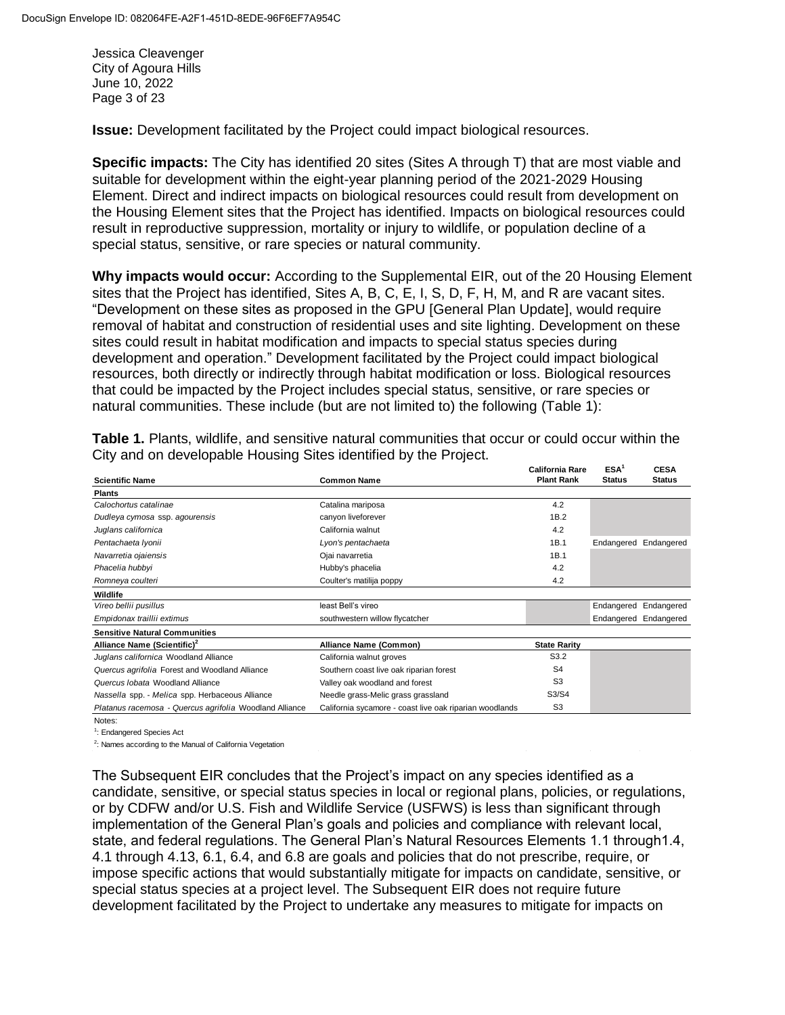Jessica Cleavenger City of Agoura Hills June 10, 2022 Page 3 of 23

**Issue:** Development facilitated by the Project could impact biological resources.

**Specific impacts:** The City has identified 20 sites (Sites A through T) that are most viable and suitable for development within the eight-year planning period of the 2021‐2029 Housing Element. Direct and indirect impacts on biological resources could result from development on the Housing Element sites that the Project has identified. Impacts on biological resources could result in reproductive suppression, mortality or injury to wildlife, or population decline of a special status, sensitive, or rare species or natural community.

**Why impacts would occur:** According to the Supplemental EIR, out of the 20 Housing Element sites that the Project has identified, Sites A, B, C, E, I, S, D, F, H, M, and R are vacant sites. "Development on these sites as proposed in the GPU [General Plan Update], would require removal of habitat and construction of residential uses and site lighting. Development on these sites could result in habitat modification and impacts to special status species during development and operation." Development facilitated by the Project could impact biological resources, both directly or indirectly through habitat modification or loss. Biological resources that could be impacted by the Project includes special status, sensitive, or rare species or natural communities. These include (but are not limited to) the following (Table 1):

|                                                         |                                                         | <b>California Rare</b> | ESA <sup>1</sup> | <b>CESA</b>           |
|---------------------------------------------------------|---------------------------------------------------------|------------------------|------------------|-----------------------|
| <b>Scientific Name</b>                                  | <b>Common Name</b>                                      | <b>Plant Rank</b>      | <b>Status</b>    | <b>Status</b>         |
| <b>Plants</b>                                           |                                                         |                        |                  |                       |
| Calochortus catalinae                                   | Catalina mariposa                                       | 4.2                    |                  |                       |
| Dudleya cymosa ssp. agourensis                          | canyon liveforever                                      | 1B.2                   |                  |                       |
| Juglans californica                                     | California walnut                                       | 4.2                    |                  |                       |
| Pentachaeta Iyonii                                      | Lyon's pentachaeta                                      | 1B.1                   |                  | Endangered Endangered |
| Navarretia ojaiensis                                    | Ojai navarretia                                         | 1B.1                   |                  |                       |
| Phacelia hubbyi                                         | Hubby's phacelia                                        | 4.2                    |                  |                       |
| Romneya coulteri                                        | Coulter's matilija poppy                                | 4.2                    |                  |                       |
| Wildlife                                                |                                                         |                        |                  |                       |
| Vireo bellii pusillus                                   | least Bell's vireo                                      |                        |                  | Endangered Endangered |
| Empidonax traillii extimus                              | southwestern willow flycatcher                          |                        |                  | Endangered Endangered |
| <b>Sensitive Natural Communities</b>                    |                                                         |                        |                  |                       |
| Alliance Name (Scientific) <sup>2</sup>                 | Alliance Name (Common)                                  | <b>State Rarity</b>    |                  |                       |
| Juglans californica Woodland Alliance                   | California walnut groves                                | S3.2                   |                  |                       |
| Quercus agrifolia Forest and Woodland Alliance          | Southern coast live oak riparian forest                 | S <sub>4</sub>         |                  |                       |
| Quercus <i>Iobata</i> Woodland Alliance                 | Valley oak woodland and forest                          | S <sub>3</sub>         |                  |                       |
| Nassella spp. - Melica spp. Herbaceous Alliance         | Needle grass-Melic grass grassland                      | S3/S4                  |                  |                       |
| Platanus racemosa - Quercus agrifolia Woodland Alliance | California sycamore - coast live oak riparian woodlands | S <sub>3</sub>         |                  |                       |
| $N = 1 - 1$                                             |                                                         |                        |                  |                       |

**Table 1.** Plants, wildlife, and sensitive natural communities that occur or could occur within the City and on developable Housing Sites identified by the Project. **ESA<sup>1</sup>**<br>ESA<sup>1</sup> C

Notes:

<sup>1</sup>: Endangered Species Act

<sup>2</sup>: Names according to the Manual of California Vegetation

The Subsequent EIR concludes that the Project's impact on any species identified as a candidate, sensitive, or special status species in local or regional plans, policies, or regulations, or by CDFW and/or U.S. Fish and Wildlife Service (USFWS) is less than significant through implementation of the General Plan's goals and policies and compliance with relevant local, state, and federal regulations. The General Plan's Natural Resources Elements 1.1 through1.4, 4.1 through 4.13, 6.1, 6.4, and 6.8 are goals and policies that do not prescribe, require, or impose specific actions that would substantially mitigate for impacts on candidate, sensitive, or special status species at a project level. The Subsequent EIR does not require future development facilitated by the Project to undertake any measures to mitigate for impacts on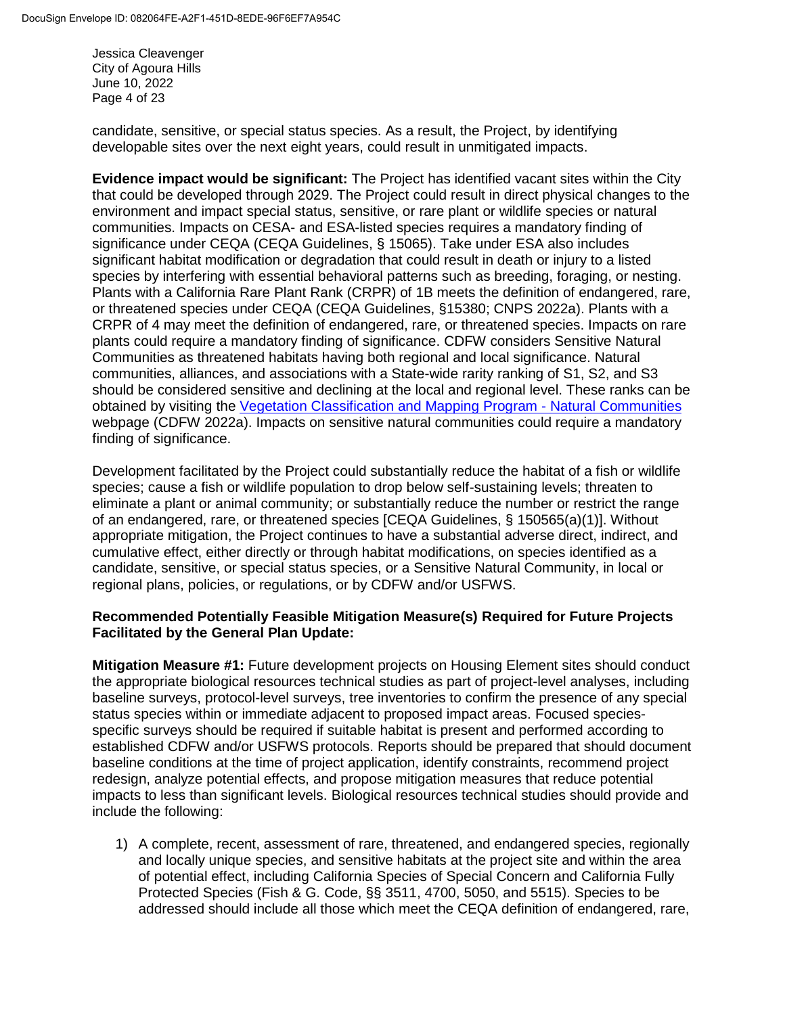Jessica Cleavenger City of Agoura Hills June 10, 2022 Page 4 of 23

candidate, sensitive, or special status species. As a result, the Project, by identifying developable sites over the next eight years, could result in unmitigated impacts.

**Evidence impact would be significant:** The Project has identified vacant sites within the City that could be developed through 2029. The Project could result in direct physical changes to the environment and impact special status, sensitive, or rare plant or wildlife species or natural communities. Impacts on CESA- and ESA-listed species requires a mandatory finding of significance under CEQA (CEQA Guidelines, § 15065). Take under ESA also includes significant habitat modification or degradation that could result in death or injury to a listed species by interfering with essential behavioral patterns such as breeding, foraging, or nesting. Plants with a California Rare Plant Rank (CRPR) of 1B meets the definition of endangered, rare, or threatened species under CEQA (CEQA Guidelines, §15380; CNPS 2022a). Plants with a CRPR of 4 may meet the definition of endangered, rare, or threatened species. Impacts on rare plants could require a mandatory finding of significance. CDFW considers Sensitive Natural Communities as threatened habitats having both regional and local significance. Natural communities, alliances, and associations with a State-wide rarity ranking of S1, S2, and S3 should be considered sensitive and declining at the local and regional level. These ranks can be obtained by visiting the [Vegetation Classification and Mapping Program -](https://wildlife.ca.gov/Data/VegCAMP/Natural-Communities) Natural Communities webpage (CDFW 2022a). Impacts on sensitive natural communities could require a mandatory finding of significance.

Development facilitated by the Project could substantially reduce the habitat of a fish or wildlife species; cause a fish or wildlife population to drop below self-sustaining levels; threaten to eliminate a plant or animal community; or substantially reduce the number or restrict the range of an endangered, rare, or threatened species [CEQA Guidelines, § 150565(a)(1)]. Without appropriate mitigation, the Project continues to have a substantial adverse direct, indirect, and cumulative effect, either directly or through habitat modifications, on species identified as a candidate, sensitive, or special status species, or a Sensitive Natural Community, in local or regional plans, policies, or regulations, or by CDFW and/or USFWS.

#### **Recommended Potentially Feasible Mitigation Measure(s) Required for Future Projects Facilitated by the General Plan Update:**

**Mitigation Measure #1:** Future development projects on Housing Element sites should conduct the appropriate biological resources technical studies as part of project-level analyses, including baseline surveys, protocol-level surveys, tree inventories to confirm the presence of any special status species within or immediate adjacent to proposed impact areas. Focused speciesspecific surveys should be required if suitable habitat is present and performed according to established CDFW and/or USFWS protocols. Reports should be prepared that should document baseline conditions at the time of project application, identify constraints, recommend project redesign, analyze potential effects, and propose mitigation measures that reduce potential impacts to less than significant levels. Biological resources technical studies should provide and include the following:

1) A complete, recent, assessment of rare, threatened, and endangered species, regionally and locally unique species, and sensitive habitats at the project site and within the area of potential effect, including California Species of Special Concern and California Fully Protected Species (Fish & G. Code, §§ 3511, 4700, 5050, and 5515). Species to be addressed should include all those which meet the CEQA definition of endangered, rare,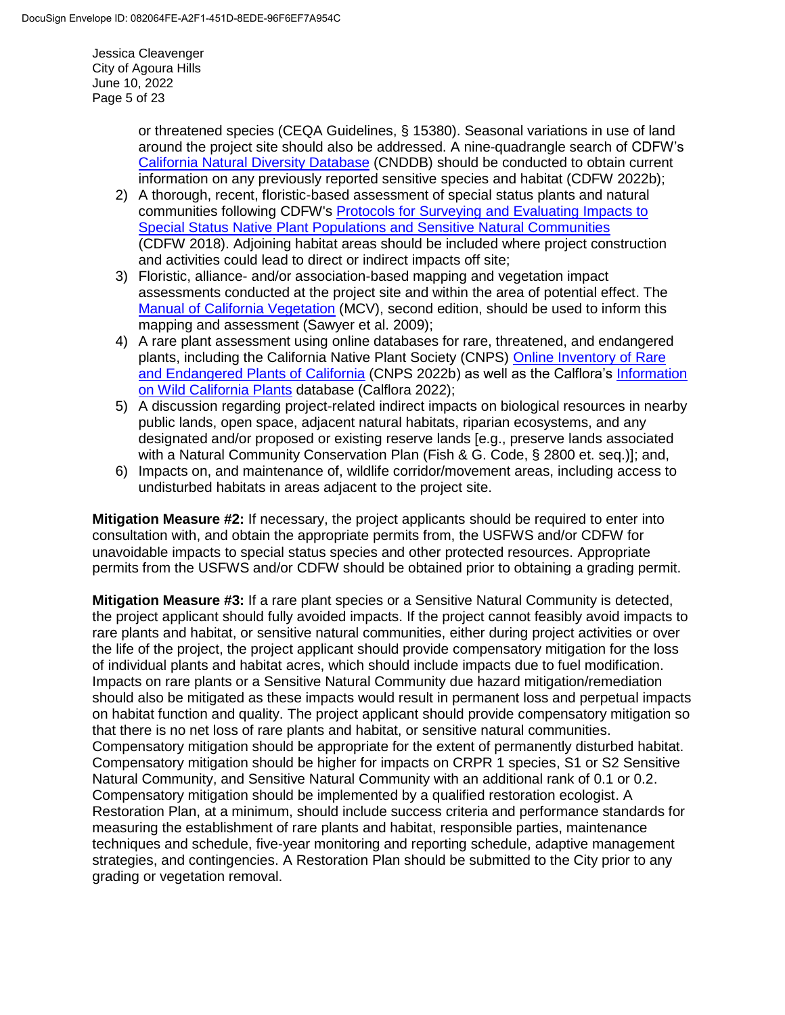Jessica Cleavenger City of Agoura Hills June 10, 2022 Page 5 of 23

> or threatened species (CEQA Guidelines, § 15380). Seasonal variations in use of land around the project site should also be addressed. A nine-quadrangle search of CDFW's [California Natural Diversity Database](https://wildlife.ca.gov/Data/CNDDB) (CNDDB) should be conducted to obtain current information on any previously reported sensitive species and habitat (CDFW 2022b);

- 2) A thorough, recent, floristic-based assessment of special status plants and natural communities following CDFW's Protocols for Surveying and Evaluating Impacts to [Special Status Native Plant Populations and Sensitive Natural Communities](https://nrm.dfg.ca.gov/FileHandler.ashx?DocumentID=18959&inline) (CDFW 2018). Adjoining habitat areas should be included where project construction and activities could lead to direct or indirect impacts off site;
- 3) Floristic, alliance- and/or association-based mapping and vegetation impact assessments conducted at the project site and within the area of potential effect. The [Manual of California Vegetation](http://vegetation.cnps.org/) (MCV), second edition, should be used to inform this mapping and assessment (Sawyer et al. 2009);
- 4) A rare plant assessment using online databases for rare, threatened, and endangered plants, including the California Native Plant Society (CNPS) [Online Inventory of Rare](https://rareplants.cnps.org/)  [and Endangered Plants of California](https://rareplants.cnps.org/) (CNPS 2022b) as well as the Calflora's Information [on Wild California Plants](https://www.calflora.org/) database (Calflora 2022);
- 5) A discussion regarding project-related indirect impacts on biological resources in nearby public lands, open space, adjacent natural habitats, riparian ecosystems, and any designated and/or proposed or existing reserve lands [e.g., preserve lands associated with a Natural Community Conservation Plan (Fish & G. Code, § 2800 et. seq.)]; and,
- 6) Impacts on, and maintenance of, wildlife corridor/movement areas, including access to undisturbed habitats in areas adjacent to the project site.

**Mitigation Measure #2:** If necessary, the project applicants should be required to enter into consultation with, and obtain the appropriate permits from, the USFWS and/or CDFW for unavoidable impacts to special status species and other protected resources. Appropriate permits from the USFWS and/or CDFW should be obtained prior to obtaining a grading permit.

**Mitigation Measure #3:** If a rare plant species or a Sensitive Natural Community is detected, the project applicant should fully avoided impacts. If the project cannot feasibly avoid impacts to rare plants and habitat, or sensitive natural communities, either during project activities or over the life of the project, the project applicant should provide compensatory mitigation for the loss of individual plants and habitat acres, which should include impacts due to fuel modification. Impacts on rare plants or a Sensitive Natural Community due hazard mitigation/remediation should also be mitigated as these impacts would result in permanent loss and perpetual impacts on habitat function and quality. The project applicant should provide compensatory mitigation so that there is no net loss of rare plants and habitat, or sensitive natural communities. Compensatory mitigation should be appropriate for the extent of permanently disturbed habitat. Compensatory mitigation should be higher for impacts on CRPR 1 species, S1 or S2 Sensitive Natural Community, and Sensitive Natural Community with an additional rank of 0.1 or 0.2. Compensatory mitigation should be implemented by a qualified restoration ecologist. A Restoration Plan, at a minimum, should include success criteria and performance standards for measuring the establishment of rare plants and habitat, responsible parties, maintenance techniques and schedule, five-year monitoring and reporting schedule, adaptive management strategies, and contingencies. A Restoration Plan should be submitted to the City prior to any grading or vegetation removal.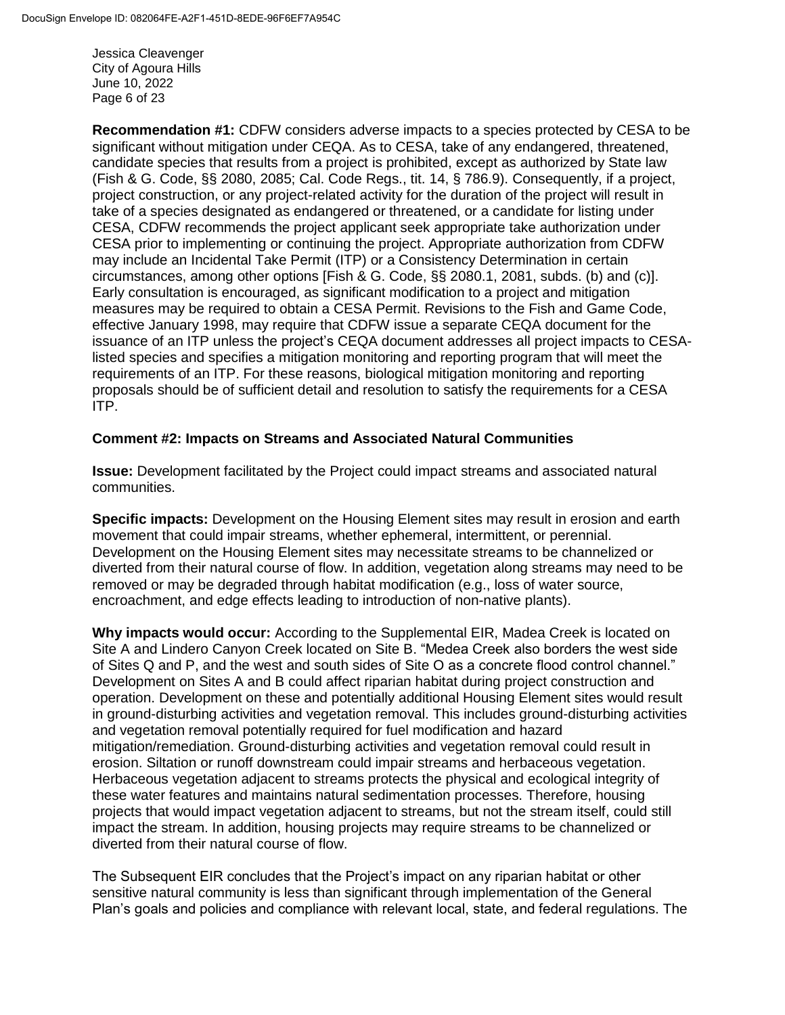Jessica Cleavenger City of Agoura Hills June 10, 2022 Page 6 of 23

**Recommendation #1:** CDFW considers adverse impacts to a species protected by CESA to be significant without mitigation under CEQA. As to CESA, take of any endangered, threatened, candidate species that results from a project is prohibited, except as authorized by State law (Fish & G. Code, §§ 2080, 2085; Cal. Code Regs., tit. 14, § 786.9). Consequently, if a project, project construction, or any project-related activity for the duration of the project will result in take of a species designated as endangered or threatened, or a candidate for listing under CESA, CDFW recommends the project applicant seek appropriate take authorization under CESA prior to implementing or continuing the project. Appropriate authorization from CDFW may include an Incidental Take Permit (ITP) or a Consistency Determination in certain circumstances, among other options [Fish & G. Code, §§ 2080.1, 2081, subds. (b) and (c)]. Early consultation is encouraged, as significant modification to a project and mitigation measures may be required to obtain a CESA Permit. Revisions to the Fish and Game Code, effective January 1998, may require that CDFW issue a separate CEQA document for the issuance of an ITP unless the project's CEQA document addresses all project impacts to CESAlisted species and specifies a mitigation monitoring and reporting program that will meet the requirements of an ITP. For these reasons, biological mitigation monitoring and reporting proposals should be of sufficient detail and resolution to satisfy the requirements for a CESA ITP.

#### **Comment #2: Impacts on Streams and Associated Natural Communities**

**Issue:** Development facilitated by the Project could impact streams and associated natural communities.

**Specific impacts:** Development on the Housing Element sites may result in erosion and earth movement that could impair streams, whether ephemeral, intermittent, or perennial. Development on the Housing Element sites may necessitate streams to be channelized or diverted from their natural course of flow. In addition, vegetation along streams may need to be removed or may be degraded through habitat modification (e.g., loss of water source, encroachment, and edge effects leading to introduction of non-native plants).

**Why impacts would occur:** According to the Supplemental EIR, Madea Creek is located on Site A and Lindero Canyon Creek located on Site B. "Medea Creek also borders the west side of Sites Q and P, and the west and south sides of Site O as a concrete flood control channel." Development on Sites A and B could affect riparian habitat during project construction and operation. Development on these and potentially additional Housing Element sites would result in ground-disturbing activities and vegetation removal. This includes ground-disturbing activities and vegetation removal potentially required for fuel modification and hazard mitigation/remediation. Ground-disturbing activities and vegetation removal could result in erosion. Siltation or runoff downstream could impair streams and herbaceous vegetation. Herbaceous vegetation adjacent to streams protects the physical and ecological integrity of these water features and maintains natural sedimentation processes. Therefore, housing projects that would impact vegetation adjacent to streams, but not the stream itself, could still impact the stream. In addition, housing projects may require streams to be channelized or diverted from their natural course of flow.

The Subsequent EIR concludes that the Project's impact on any riparian habitat or other sensitive natural community is less than significant through implementation of the General Plan's goals and policies and compliance with relevant local, state, and federal regulations. The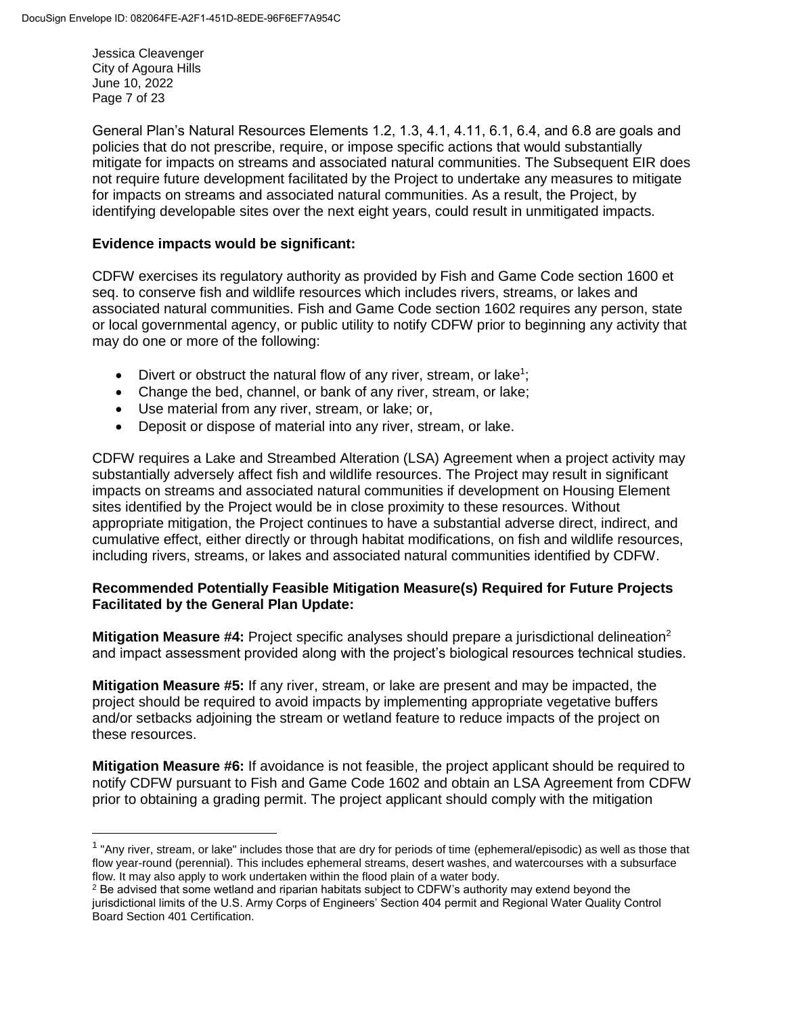Jessica Cleavenger City of Agoura Hills June 10, 2022 Page 7 of 23

 $\overline{\phantom{a}}$ 

General Plan's Natural Resources Elements 1.2, 1.3, 4.1, 4.11, 6.1, 6.4, and 6.8 are goals and policies that do not prescribe, require, or impose specific actions that would substantially mitigate for impacts on streams and associated natural communities. The Subsequent EIR does not require future development facilitated by the Project to undertake any measures to mitigate for impacts on streams and associated natural communities. As a result, the Project, by identifying developable sites over the next eight years, could result in unmitigated impacts.

#### **Evidence impacts would be significant:**

CDFW exercises its regulatory authority as provided by Fish and Game Code section 1600 et seq. to conserve fish and wildlife resources which includes rivers, streams, or lakes and associated natural communities. Fish and Game Code section 1602 requires any person, state or local governmental agency, or public utility to notify CDFW prior to beginning any activity that may do one or more of the following:

- Divert or obstruct the natural flow of any river, stream, or lake<sup>1</sup>;
- Change the bed, channel, or bank of any river, stream, or lake;
- Use material from any river, stream, or lake; or,
- Deposit or dispose of material into any river, stream, or lake.

CDFW requires a Lake and Streambed Alteration (LSA) Agreement when a project activity may substantially adversely affect fish and wildlife resources. The Project may result in significant impacts on streams and associated natural communities if development on Housing Element sites identified by the Project would be in close proximity to these resources. Without appropriate mitigation, the Project continues to have a substantial adverse direct, indirect, and cumulative effect, either directly or through habitat modifications, on fish and wildlife resources, including rivers, streams, or lakes and associated natural communities identified by CDFW.

#### **Recommended Potentially Feasible Mitigation Measure(s) Required for Future Projects Facilitated by the General Plan Update:**

**Mitigation Measure #4:** Project specific analyses should prepare a jurisdictional delineation<sup>2</sup> and impact assessment provided along with the project's biological resources technical studies.

**Mitigation Measure #5:** If any river, stream, or lake are present and may be impacted, the project should be required to avoid impacts by implementing appropriate vegetative buffers and/or setbacks adjoining the stream or wetland feature to reduce impacts of the project on these resources.

**Mitigation Measure #6:** If avoidance is not feasible, the project applicant should be required to notify CDFW pursuant to Fish and Game Code 1602 and obtain an LSA Agreement from CDFW prior to obtaining a grading permit. The project applicant should comply with the mitigation

<sup>&</sup>lt;sup>1</sup> "Any river, stream, or lake" includes those that are dry for periods of time (ephemeral/episodic) as well as those that flow year-round (perennial). This includes ephemeral streams, desert washes, and watercourses with a subsurface flow. It may also apply to work undertaken within the flood plain of a water body.

<sup>&</sup>lt;sup>2</sup> Be advised that some wetland and riparian habitats subject to CDFW's authority may extend beyond the jurisdictional limits of the U.S. Army Corps of Engineers' Section 404 permit and Regional Water Quality Control Board Section 401 Certification.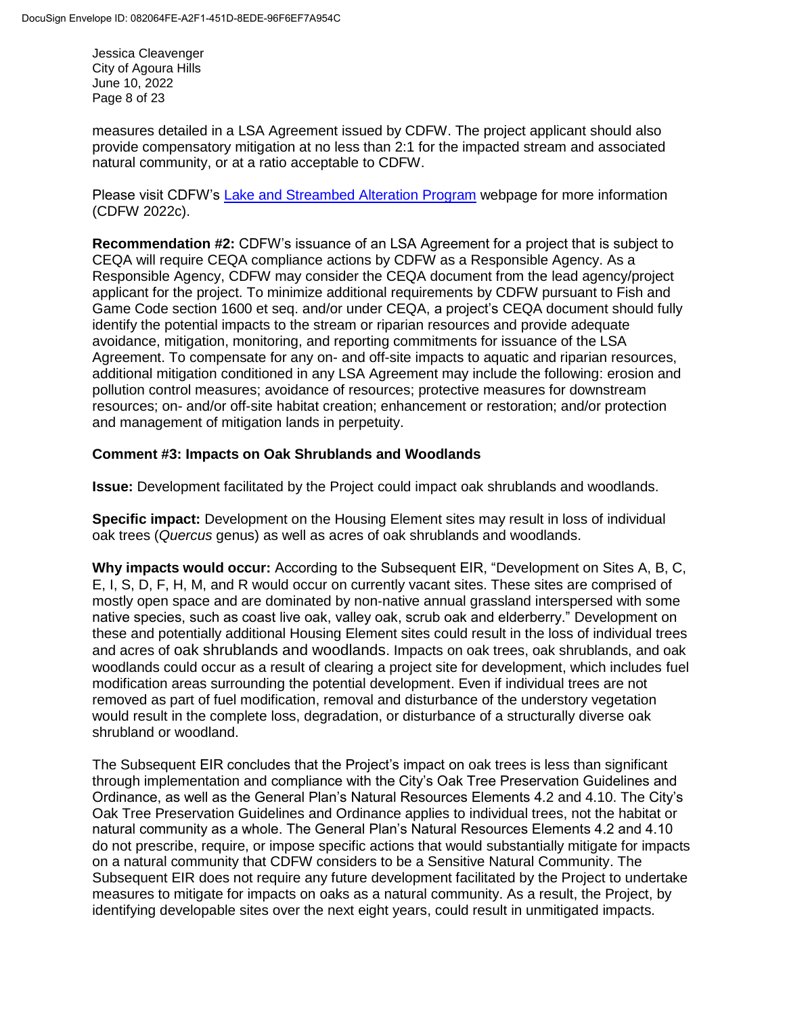Jessica Cleavenger City of Agoura Hills June 10, 2022 Page 8 of 23

measures detailed in a LSA Agreement issued by CDFW. The project applicant should also provide compensatory mitigation at no less than 2:1 for the impacted stream and associated natural community, or at a ratio acceptable to CDFW.

Please visit CDFW's [Lake and Streambed Alteration Program](https://wildlife.ca.gov/Conservation/LSA) webpage for more information (CDFW 2022c).

**Recommendation #2:** CDFW's issuance of an LSA Agreement for a project that is subject to CEQA will require CEQA compliance actions by CDFW as a Responsible Agency. As a Responsible Agency, CDFW may consider the CEQA document from the lead agency/project applicant for the project. To minimize additional requirements by CDFW pursuant to Fish and Game Code section 1600 et seq. and/or under CEQA, a project's CEQA document should fully identify the potential impacts to the stream or riparian resources and provide adequate avoidance, mitigation, monitoring, and reporting commitments for issuance of the LSA Agreement. To compensate for any on- and off-site impacts to aquatic and riparian resources, additional mitigation conditioned in any LSA Agreement may include the following: erosion and pollution control measures; avoidance of resources; protective measures for downstream resources; on- and/or off-site habitat creation; enhancement or restoration; and/or protection and management of mitigation lands in perpetuity.

## **Comment #3: Impacts on Oak Shrublands and Woodlands**

**Issue:** Development facilitated by the Project could impact oak shrublands and woodlands.

**Specific impact:** Development on the Housing Element sites may result in loss of individual oak trees (*Quercus* genus) as well as acres of oak shrublands and woodlands.

**Why impacts would occur:** According to the Subsequent EIR, "Development on Sites A, B, C, E, I, S, D, F, H, M, and R would occur on currently vacant sites. These sites are comprised of mostly open space and are dominated by non‐native annual grassland interspersed with some native species, such as coast live oak, valley oak, scrub oak and elderberry." Development on these and potentially additional Housing Element sites could result in the loss of individual trees and acres of oak shrublands and woodlands. Impacts on oak trees, oak shrublands, and oak woodlands could occur as a result of clearing a project site for development, which includes fuel modification areas surrounding the potential development. Even if individual trees are not removed as part of fuel modification, removal and disturbance of the understory vegetation would result in the complete loss, degradation, or disturbance of a structurally diverse oak shrubland or woodland.

The Subsequent EIR concludes that the Project's impact on oak trees is less than significant through implementation and compliance with the City's Oak Tree Preservation Guidelines and Ordinance, as well as the General Plan's Natural Resources Elements 4.2 and 4.10. The City's Oak Tree Preservation Guidelines and Ordinance applies to individual trees, not the habitat or natural community as a whole. The General Plan's Natural Resources Elements 4.2 and 4.10 do not prescribe, require, or impose specific actions that would substantially mitigate for impacts on a natural community that CDFW considers to be a Sensitive Natural Community. The Subsequent EIR does not require any future development facilitated by the Project to undertake measures to mitigate for impacts on oaks as a natural community. As a result, the Project, by identifying developable sites over the next eight years, could result in unmitigated impacts.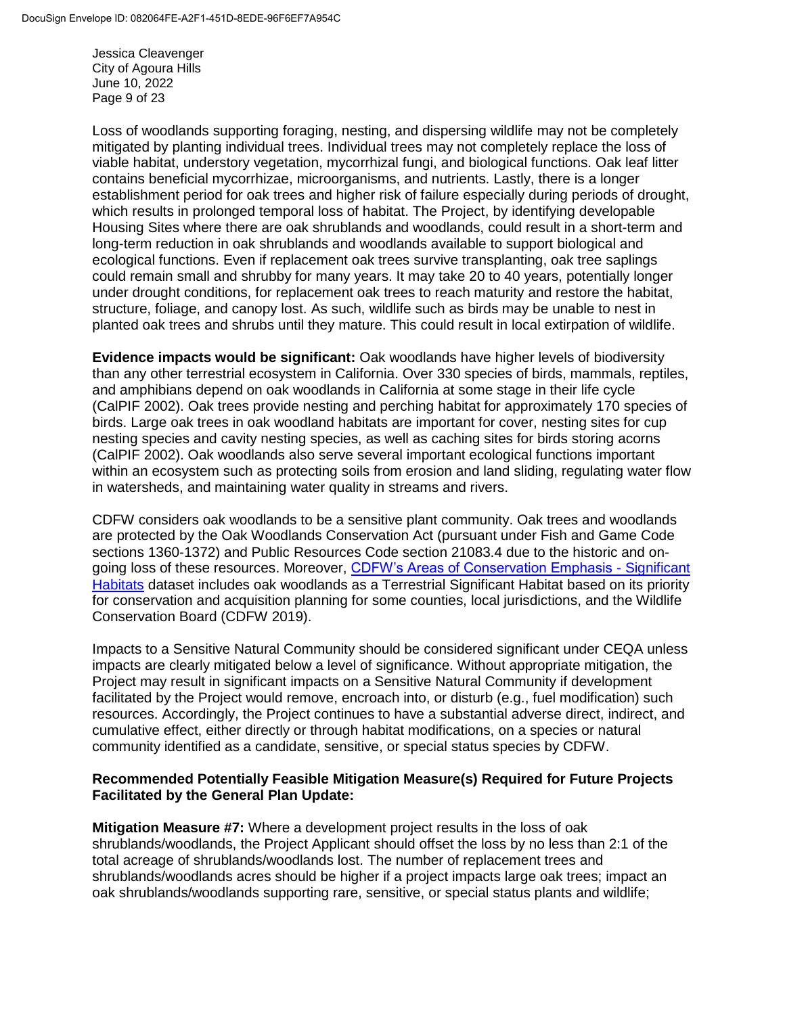Jessica Cleavenger City of Agoura Hills June 10, 2022 Page 9 of 23

Loss of woodlands supporting foraging, nesting, and dispersing wildlife may not be completely mitigated by planting individual trees. Individual trees may not completely replace the loss of viable habitat, understory vegetation, mycorrhizal fungi, and biological functions. Oak leaf litter contains beneficial mycorrhizae, microorganisms, and nutrients. Lastly, there is a longer establishment period for oak trees and higher risk of failure especially during periods of drought, which results in prolonged temporal loss of habitat. The Project, by identifying developable Housing Sites where there are oak shrublands and woodlands, could result in a short-term and long-term reduction in oak shrublands and woodlands available to support biological and ecological functions. Even if replacement oak trees survive transplanting, oak tree saplings could remain small and shrubby for many years. It may take 20 to 40 years, potentially longer under drought conditions, for replacement oak trees to reach maturity and restore the habitat, structure, foliage, and canopy lost. As such, wildlife such as birds may be unable to nest in planted oak trees and shrubs until they mature. This could result in local extirpation of wildlife.

**Evidence impacts would be significant:** Oak woodlands have higher levels of biodiversity than any other terrestrial ecosystem in California. Over 330 species of birds, mammals, reptiles, and amphibians depend on oak woodlands in California at some stage in their life cycle (CalPIF 2002). Oak trees provide nesting and perching habitat for approximately 170 species of birds. Large oak trees in oak woodland habitats are important for cover, nesting sites for cup nesting species and cavity nesting species, as well as caching sites for birds storing acorns (CalPIF 2002). Oak woodlands also serve several important ecological functions important within an ecosystem such as protecting soils from erosion and land sliding, regulating water flow in watersheds, and maintaining water quality in streams and rivers.

CDFW considers oak woodlands to be a sensitive plant community. Oak trees and woodlands are protected by the Oak Woodlands Conservation Act (pursuant under Fish and Game Code sections 1360-1372) and Public Resources Code section 21083.4 due to the historic and ongoing loss of these resources. Moreover, [CDFW's Areas of Conservation Emphasis -](https://wildlife.ca.gov/Data/Analysis/Ace#523731771-significant-habitats) Significant [Habitats](https://wildlife.ca.gov/Data/Analysis/Ace#523731771-significant-habitats) dataset includes oak woodlands as a Terrestrial Significant Habitat based on its priority for conservation and acquisition planning for some counties, local jurisdictions, and the Wildlife Conservation Board (CDFW 2019).

Impacts to a Sensitive Natural Community should be considered significant under CEQA unless impacts are clearly mitigated below a level of significance. Without appropriate mitigation, the Project may result in significant impacts on a Sensitive Natural Community if development facilitated by the Project would remove, encroach into, or disturb (e.g., fuel modification) such resources. Accordingly, the Project continues to have a substantial adverse direct, indirect, and cumulative effect, either directly or through habitat modifications, on a species or natural community identified as a candidate, sensitive, or special status species by CDFW.

#### **Recommended Potentially Feasible Mitigation Measure(s) Required for Future Projects Facilitated by the General Plan Update:**

**Mitigation Measure #7:** Where a development project results in the loss of oak shrublands/woodlands, the Project Applicant should offset the loss by no less than 2:1 of the total acreage of shrublands/woodlands lost. The number of replacement trees and shrublands/woodlands acres should be higher if a project impacts large oak trees; impact an oak shrublands/woodlands supporting rare, sensitive, or special status plants and wildlife;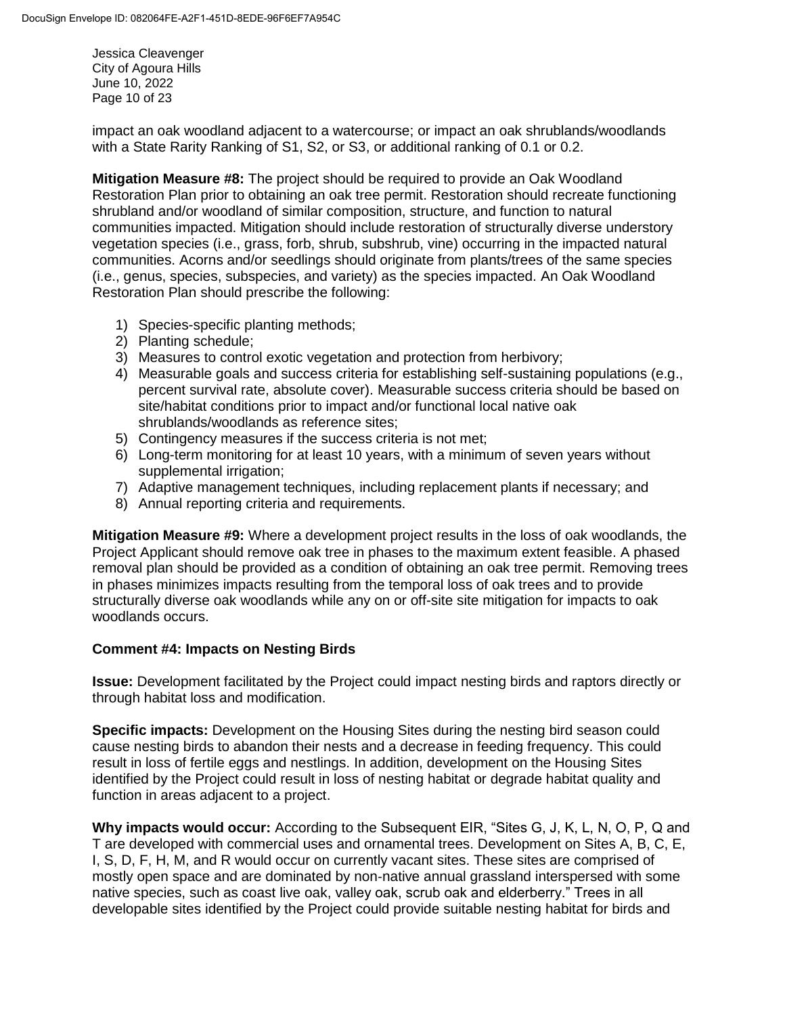Jessica Cleavenger City of Agoura Hills June 10, 2022 Page 10 of 23

impact an oak woodland adjacent to a watercourse; or impact an oak shrublands/woodlands with a State Rarity Ranking of S1, S2, or S3, or additional ranking of 0.1 or 0.2.

**Mitigation Measure #8:** The project should be required to provide an Oak Woodland Restoration Plan prior to obtaining an oak tree permit. Restoration should recreate functioning shrubland and/or woodland of similar composition, structure, and function to natural communities impacted. Mitigation should include restoration of structurally diverse understory vegetation species (i.e., grass, forb, shrub, subshrub, vine) occurring in the impacted natural communities. Acorns and/or seedlings should originate from plants/trees of the same species (i.e., genus, species, subspecies, and variety) as the species impacted. An Oak Woodland Restoration Plan should prescribe the following:

- 1) Species-specific planting methods;
- 2) Planting schedule;
- 3) Measures to control exotic vegetation and protection from herbivory;
- 4) Measurable goals and success criteria for establishing self-sustaining populations (e.g., percent survival rate, absolute cover). Measurable success criteria should be based on site/habitat conditions prior to impact and/or functional local native oak shrublands/woodlands as reference sites;
- 5) Contingency measures if the success criteria is not met;
- 6) Long-term monitoring for at least 10 years, with a minimum of seven years without supplemental irrigation;
- 7) Adaptive management techniques, including replacement plants if necessary; and
- 8) Annual reporting criteria and requirements.

**Mitigation Measure #9:** Where a development project results in the loss of oak woodlands, the Project Applicant should remove oak tree in phases to the maximum extent feasible. A phased removal plan should be provided as a condition of obtaining an oak tree permit. Removing trees in phases minimizes impacts resulting from the temporal loss of oak trees and to provide structurally diverse oak woodlands while any on or off-site site mitigation for impacts to oak woodlands occurs.

## **Comment #4: Impacts on Nesting Birds**

**Issue:** Development facilitated by the Project could impact nesting birds and raptors directly or through habitat loss and modification.

**Specific impacts:** Development on the Housing Sites during the nesting bird season could cause nesting birds to abandon their nests and a decrease in feeding frequency. This could result in loss of fertile eggs and nestlings. In addition, development on the Housing Sites identified by the Project could result in loss of nesting habitat or degrade habitat quality and function in areas adjacent to a project.

**Why impacts would occur:** According to the Subsequent EIR, "Sites G, J, K, L, N, O, P, Q and T are developed with commercial uses and ornamental trees. Development on Sites A, B, C, E, I, S, D, F, H, M, and R would occur on currently vacant sites. These sites are comprised of mostly open space and are dominated by non‐native annual grassland interspersed with some native species, such as coast live oak, valley oak, scrub oak and elderberry." Trees in all developable sites identified by the Project could provide suitable nesting habitat for birds and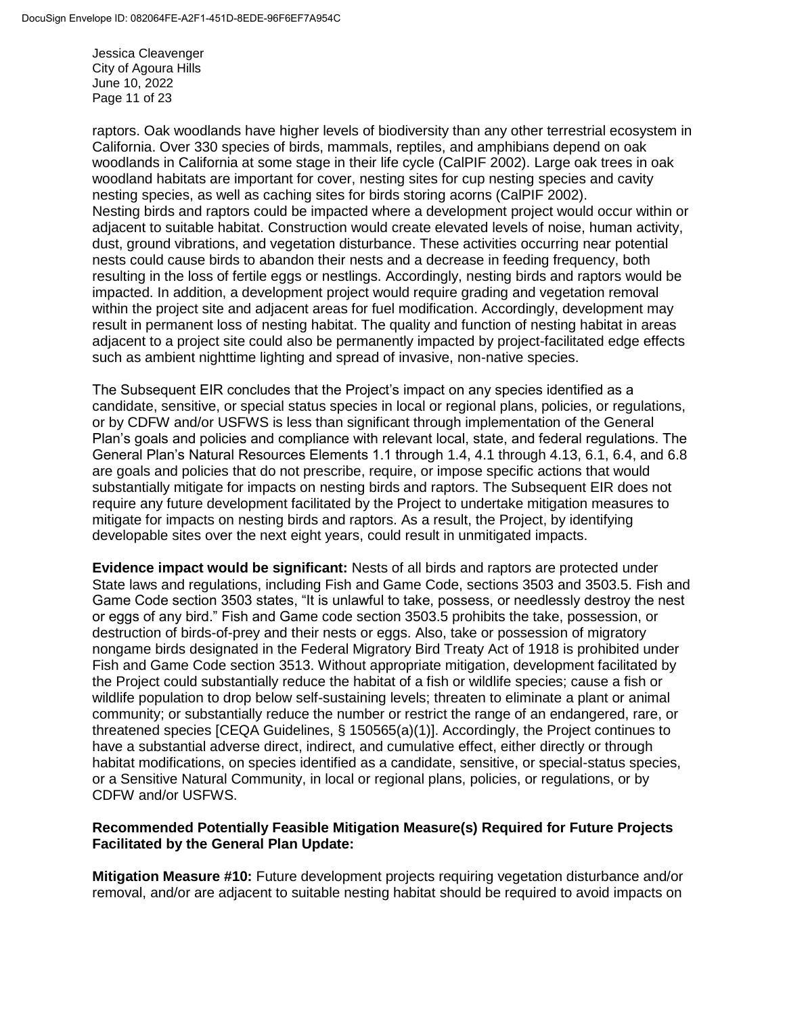Jessica Cleavenger City of Agoura Hills June 10, 2022 Page 11 of 23

raptors. Oak woodlands have higher levels of biodiversity than any other terrestrial ecosystem in California. Over 330 species of birds, mammals, reptiles, and amphibians depend on oak woodlands in California at some stage in their life cycle (CalPIF 2002). Large oak trees in oak woodland habitats are important for cover, nesting sites for cup nesting species and cavity nesting species, as well as caching sites for birds storing acorns (CalPIF 2002). Nesting birds and raptors could be impacted where a development project would occur within or adjacent to suitable habitat. Construction would create elevated levels of noise, human activity, dust, ground vibrations, and vegetation disturbance. These activities occurring near potential nests could cause birds to abandon their nests and a decrease in feeding frequency, both resulting in the loss of fertile eggs or nestlings. Accordingly, nesting birds and raptors would be impacted. In addition, a development project would require grading and vegetation removal within the project site and adjacent areas for fuel modification. Accordingly, development may result in permanent loss of nesting habitat. The quality and function of nesting habitat in areas adjacent to a project site could also be permanently impacted by project-facilitated edge effects such as ambient nighttime lighting and spread of invasive, non-native species.

The Subsequent EIR concludes that the Project's impact on any species identified as a candidate, sensitive, or special status species in local or regional plans, policies, or regulations, or by CDFW and/or USFWS is less than significant through implementation of the General Plan's goals and policies and compliance with relevant local, state, and federal regulations. The General Plan's Natural Resources Elements 1.1 through 1.4, 4.1 through 4.13, 6.1, 6.4, and 6.8 are goals and policies that do not prescribe, require, or impose specific actions that would substantially mitigate for impacts on nesting birds and raptors. The Subsequent EIR does not require any future development facilitated by the Project to undertake mitigation measures to mitigate for impacts on nesting birds and raptors. As a result, the Project, by identifying developable sites over the next eight years, could result in unmitigated impacts.

**Evidence impact would be significant:** Nests of all birds and raptors are protected under State laws and regulations, including Fish and Game Code, sections 3503 and 3503.5. Fish and Game Code section 3503 states, "It is unlawful to take, possess, or needlessly destroy the nest or eggs of any bird." Fish and Game code section 3503.5 prohibits the take, possession, or destruction of birds-of-prey and their nests or eggs. Also, take or possession of migratory nongame birds designated in the Federal Migratory Bird Treaty Act of 1918 is prohibited under Fish and Game Code section 3513. Without appropriate mitigation, development facilitated by the Project could substantially reduce the habitat of a fish or wildlife species; cause a fish or wildlife population to drop below self-sustaining levels; threaten to eliminate a plant or animal community; or substantially reduce the number or restrict the range of an endangered, rare, or threatened species [CEQA Guidelines, § 150565(a)(1)]. Accordingly, the Project continues to have a substantial adverse direct, indirect, and cumulative effect, either directly or through habitat modifications, on species identified as a candidate, sensitive, or special-status species, or a Sensitive Natural Community, in local or regional plans, policies, or regulations, or by CDFW and/or USFWS.

## **Recommended Potentially Feasible Mitigation Measure(s) Required for Future Projects Facilitated by the General Plan Update:**

**Mitigation Measure #10:** Future development projects requiring vegetation disturbance and/or removal, and/or are adjacent to suitable nesting habitat should be required to avoid impacts on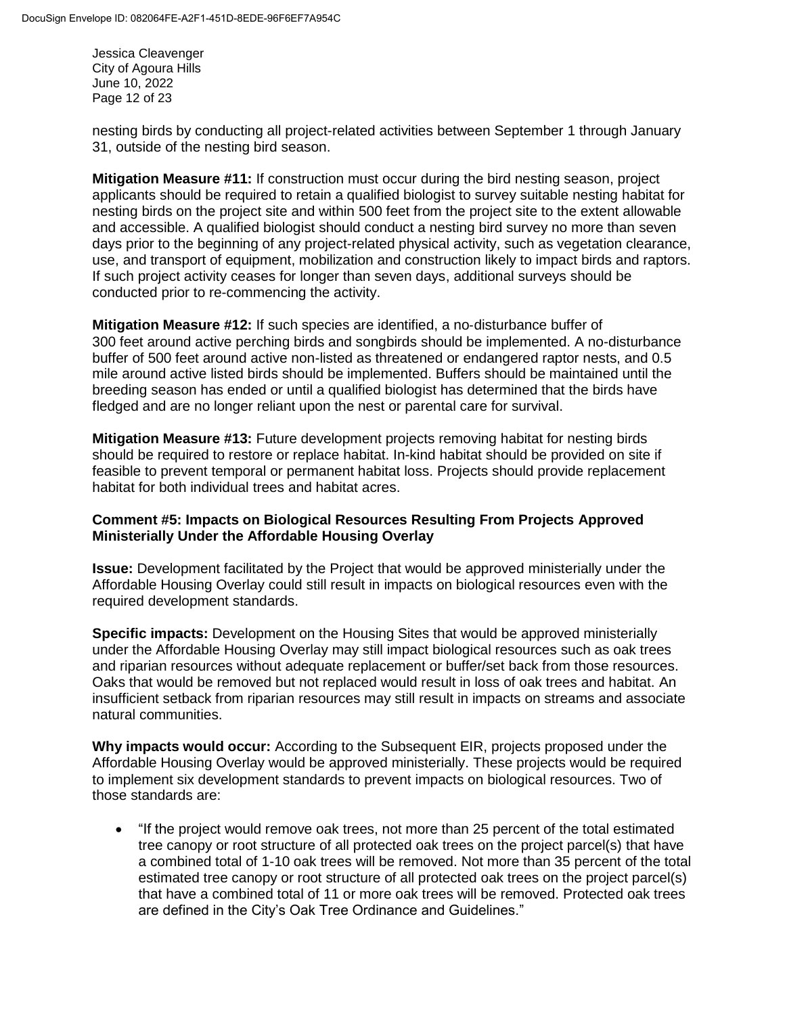Jessica Cleavenger City of Agoura Hills June 10, 2022 Page 12 of 23

nesting birds by conducting all project-related activities between September 1 through January 31, outside of the nesting bird season.

**Mitigation Measure #11:** If construction must occur during the bird nesting season, project applicants should be required to retain a qualified biologist to survey suitable nesting habitat for nesting birds on the project site and within 500 feet from the project site to the extent allowable and accessible. A qualified biologist should conduct a nesting bird survey no more than seven days prior to the beginning of any project-related physical activity, such as vegetation clearance, use, and transport of equipment, mobilization and construction likely to impact birds and raptors. If such project activity ceases for longer than seven days, additional surveys should be conducted prior to re-commencing the activity.

**Mitigation Measure #12:** If such species are identified, a no-disturbance buffer of 300 feet around active perching birds and songbirds should be implemented. A no-disturbance buffer of 500 feet around active non-listed as threatened or endangered raptor nests, and 0.5 mile around active listed birds should be implemented. Buffers should be maintained until the breeding season has ended or until a qualified biologist has determined that the birds have fledged and are no longer reliant upon the nest or parental care for survival.

**Mitigation Measure #13:** Future development projects removing habitat for nesting birds should be required to restore or replace habitat. In-kind habitat should be provided on site if feasible to prevent temporal or permanent habitat loss. Projects should provide replacement habitat for both individual trees and habitat acres.

## **Comment #5: Impacts on Biological Resources Resulting From Projects Approved Ministerially Under the Affordable Housing Overlay**

**Issue:** Development facilitated by the Project that would be approved ministerially under the Affordable Housing Overlay could still result in impacts on biological resources even with the required development standards.

**Specific impacts:** Development on the Housing Sites that would be approved ministerially under the Affordable Housing Overlay may still impact biological resources such as oak trees and riparian resources without adequate replacement or buffer/set back from those resources. Oaks that would be removed but not replaced would result in loss of oak trees and habitat. An insufficient setback from riparian resources may still result in impacts on streams and associate natural communities.

**Why impacts would occur:** According to the Subsequent EIR, projects proposed under the Affordable Housing Overlay would be approved ministerially. These projects would be required to implement six development standards to prevent impacts on biological resources. Two of those standards are:

 "If the project would remove oak trees, not more than 25 percent of the total estimated tree canopy or root structure of all protected oak trees on the project parcel(s) that have a combined total of 1-10 oak trees will be removed. Not more than 35 percent of the total estimated tree canopy or root structure of all protected oak trees on the project parcel(s) that have a combined total of 11 or more oak trees will be removed. Protected oak trees are defined in the City's Oak Tree Ordinance and Guidelines."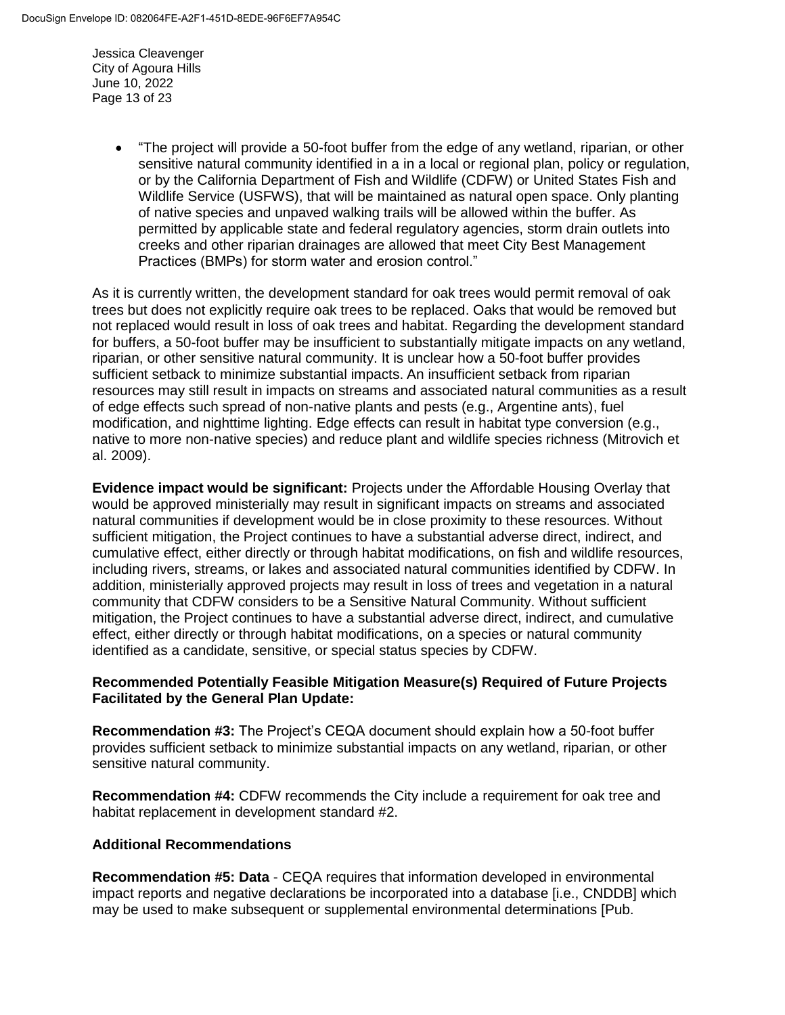Jessica Cleavenger City of Agoura Hills June 10, 2022 Page 13 of 23

> "The project will provide a 50-foot buffer from the edge of any wetland, riparian, or other sensitive natural community identified in a in a local or regional plan, policy or regulation, or by the California Department of Fish and Wildlife (CDFW) or United States Fish and Wildlife Service (USFWS), that will be maintained as natural open space. Only planting of native species and unpaved walking trails will be allowed within the buffer. As permitted by applicable state and federal regulatory agencies, storm drain outlets into creeks and other riparian drainages are allowed that meet City Best Management Practices (BMPs) for storm water and erosion control."

As it is currently written, the development standard for oak trees would permit removal of oak trees but does not explicitly require oak trees to be replaced. Oaks that would be removed but not replaced would result in loss of oak trees and habitat. Regarding the development standard for buffers, a 50-foot buffer may be insufficient to substantially mitigate impacts on any wetland, riparian, or other sensitive natural community. It is unclear how a 50-foot buffer provides sufficient setback to minimize substantial impacts. An insufficient setback from riparian resources may still result in impacts on streams and associated natural communities as a result of edge effects such spread of non-native plants and pests (e.g., Argentine ants), fuel modification, and nighttime lighting. Edge effects can result in habitat type conversion (e.g., native to more non-native species) and reduce plant and wildlife species richness (Mitrovich et al. 2009).

**Evidence impact would be significant:** Projects under the Affordable Housing Overlay that would be approved ministerially may result in significant impacts on streams and associated natural communities if development would be in close proximity to these resources. Without sufficient mitigation, the Project continues to have a substantial adverse direct, indirect, and cumulative effect, either directly or through habitat modifications, on fish and wildlife resources, including rivers, streams, or lakes and associated natural communities identified by CDFW. In addition, ministerially approved projects may result in loss of trees and vegetation in a natural community that CDFW considers to be a Sensitive Natural Community. Without sufficient mitigation, the Project continues to have a substantial adverse direct, indirect, and cumulative effect, either directly or through habitat modifications, on a species or natural community identified as a candidate, sensitive, or special status species by CDFW.

## **Recommended Potentially Feasible Mitigation Measure(s) Required of Future Projects Facilitated by the General Plan Update:**

**Recommendation #3:** The Project's CEQA document should explain how a 50-foot buffer provides sufficient setback to minimize substantial impacts on any wetland, riparian, or other sensitive natural community.

**Recommendation #4:** CDFW recommends the City include a requirement for oak tree and habitat replacement in development standard #2.

## **Additional Recommendations**

**Recommendation #5: Data** - CEQA requires that information developed in environmental impact reports and negative declarations be incorporated into a database [i.e., CNDDB] which may be used to make subsequent or supplemental environmental determinations [Pub.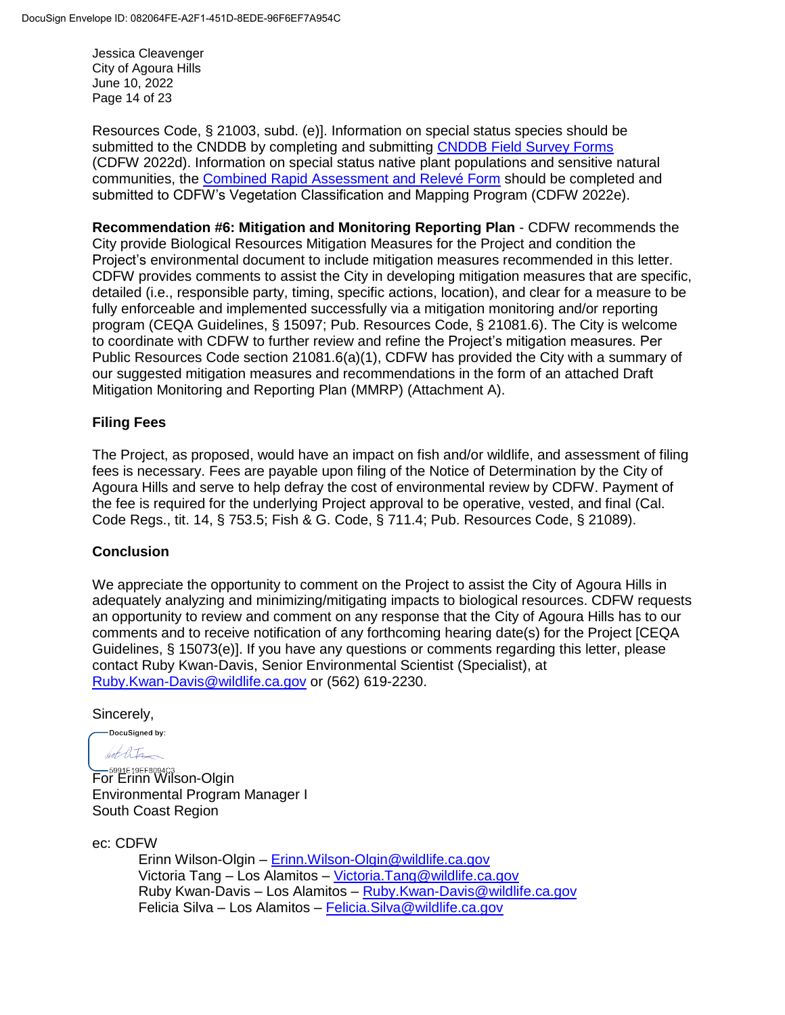Jessica Cleavenger City of Agoura Hills June 10, 2022 Page 14 of 23

Resources Code, § 21003, subd. (e)]. Information on special status species should be submitted to the CNDDB by completing and submitting [CNDDB Field Survey Forms](https://wildlife.ca.gov/Data/CNDDB/Submitting-Data) (CDFW 2022d). Information on special status native plant populations and sensitive natural communities, the [Combined Rapid Assessment and Relevé Form](https://wildlife.ca.gov/Data/VegCAMP/Natural-Communities/Submit) should be completed and submitted to CDFW's Vegetation Classification and Mapping Program (CDFW 2022e).

**Recommendation #6: Mitigation and Monitoring Reporting Plan** - CDFW recommends the City provide Biological Resources Mitigation Measures for the Project and condition the Project's environmental document to include mitigation measures recommended in this letter. CDFW provides comments to assist the City in developing mitigation measures that are specific, detailed (i.e., responsible party, timing, specific actions, location), and clear for a measure to be fully enforceable and implemented successfully via a mitigation monitoring and/or reporting program (CEQA Guidelines, § 15097; Pub. Resources Code, § 21081.6). The City is welcome to coordinate with CDFW to further review and refine the Project's mitigation measures. Per Public Resources Code section 21081.6(a)(1), CDFW has provided the City with a summary of our suggested mitigation measures and recommendations in the form of an attached Draft Mitigation Monitoring and Reporting Plan (MMRP) (Attachment A).

## **Filing Fees**

The Project, as proposed, would have an impact on fish and/or wildlife, and assessment of filing fees is necessary. Fees are payable upon filing of the Notice of Determination by the City of Agoura Hills and serve to help defray the cost of environmental review by CDFW. Payment of the fee is required for the underlying Project approval to be operative, vested, and final (Cal. Code Regs., tit. 14, § 753.5; Fish & G. Code, § 711.4; Pub. Resources Code, § 21089).

## **Conclusion**

We appreciate the opportunity to comment on the Project to assist the City of Agoura Hills in adequately analyzing and minimizing/mitigating impacts to biological resources. CDFW requests an opportunity to review and comment on any response that the City of Agoura Hills has to our comments and to receive notification of any forthcoming hearing date(s) for the Project [CEQA Guidelines, § 15073(e)]. If you have any questions or comments regarding this letter, please contact Ruby Kwan-Davis, Senior Environmental Scientist (Specialist), at [Ruby.Kwan-Davis@wildlife.ca.gov](mailto:Ruby.Kwan-Davis@wildlife.ca.gov) or (562) 619-2230.

Sincerely,

DocuSianed by: bet life

**EDEP SOBALG AGE**<br>For Erinn Wilson-Olgin Environmental Program Manager I South Coast Region

ec: CDFW

Erinn Wilson-Olgin – [Erinn.Wilson-Olgin@wildlife.ca.gov](mailto:Erinn.Wilson-Olgin@wildlife.ca.gov) Victoria Tang – Los Alamitos – [Victoria.Tang@wildlife.ca.gov](mailto:Victoria.Tang@wildlife.ca.gov) Ruby Kwan-Davis – Los Alamitos – [Ruby.Kwan-Davis@wildlife.ca.gov](mailto:Ruby.Kwan-Davis@wildlife.ca.gov) Felicia Silva – Los Alamitos – [Felicia.Silva@wildlife.ca.gov](mailto:Felicia.Silva@wildlife.ca.gov)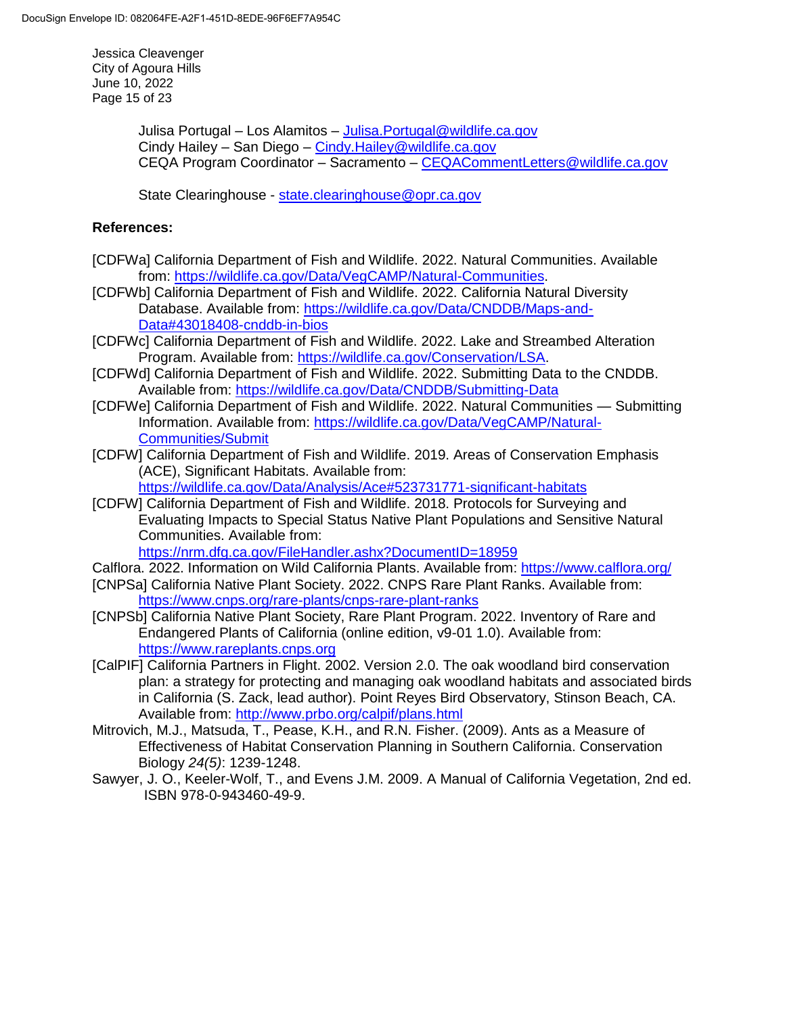Jessica Cleavenger City of Agoura Hills June 10, 2022 Page 15 of 23

> Julisa Portugal – Los Alamitos – [Julisa.Portugal@wildlife.ca.gov](mailto:Julisa.Portugal@wildlife.ca.gov) Cindy Hailey – San Diego – [Cindy.Hailey@wildlife.ca.gov](mailto:Cindy.Hailey@wildlife.ca.gov) CEQA Program Coordinator – Sacramento – [CEQACommentLetters@wildlife.ca.gov](mailto:CEQACommentLetters@wildlife.ca.gov)

State Clearinghouse - [state.clearinghouse@opr.ca.gov](mailto:state.clearinghouse@opr.ca.gov)

#### **References:**

- [CDFWa] California Department of Fish and Wildlife. 2022. Natural Communities. Available from: [https://wildlife.ca.gov/Data/VegCAMP/Natural-Communities.](https://wildlife.ca.gov/Data/VegCAMP/Natural-Communities)
- [CDFWb] California Department of Fish and Wildlife. 2022. California Natural Diversity Database. Available from: [https://wildlife.ca.gov/Data/CNDDB/Maps-and-](https://wildlife.ca.gov/Data/CNDDB/Maps-and-Data#43018408-cnddb-in-bios)[Data#43018408-cnddb-in-bios](https://wildlife.ca.gov/Data/CNDDB/Maps-and-Data#43018408-cnddb-in-bios)
- [CDFWc] California Department of Fish and Wildlife. 2022. Lake and Streambed Alteration Program. Available from: [https://wildlife.ca.gov/Conservation/LSA.](https://wildlife.ca.gov/Conservation/LSA)
- [CDFWd] California Department of Fish and Wildlife. 2022. Submitting Data to the CNDDB. Available from:<https://wildlife.ca.gov/Data/CNDDB/Submitting-Data>
- [CDFWe] California Department of Fish and Wildlife. 2022. Natural Communities Submitting Information. Available from: [https://wildlife.ca.gov/Data/VegCAMP/Natural-](https://wildlife.ca.gov/Data/VegCAMP/Natural-Communities/Submit)[Communities/Submit](https://wildlife.ca.gov/Data/VegCAMP/Natural-Communities/Submit)
- [CDFW] California Department of Fish and Wildlife. 2019. Areas of Conservation Emphasis (ACE), Significant Habitats. Available from:

<https://wildlife.ca.gov/Data/Analysis/Ace#523731771-significant-habitats>

[CDFW] California Department of Fish and Wildlife. 2018. Protocols for Surveying and Evaluating Impacts to Special Status Native Plant Populations and Sensitive Natural Communities. Available from:

```
https://nrm.dfg.ca.gov/FileHandler.ashx?DocumentID=18959
```
- Calflora. 2022. Information on Wild California Plants. Available from:<https://www.calflora.org/>
- [CNPSa] California Native Plant Society. 2022. CNPS Rare Plant Ranks. Available from: <https://www.cnps.org/rare-plants/cnps-rare-plant-ranks>
- [CNPSb] California Native Plant Society, Rare Plant Program. 2022. Inventory of Rare and Endangered Plants of California (online edition, v9-01 1.0). Available from: [https://www.rareplants.cnps.org](https://www.rareplants.cnps.org/)
- [CalPIF] California Partners in Flight. 2002. Version 2.0. The oak woodland bird conservation plan: a strategy for protecting and managing oak woodland habitats and associated birds in California (S. Zack, lead author). Point Reyes Bird Observatory, Stinson Beach, CA. Available from: <http://www.prbo.org/calpif/plans.html>
- Mitrovich, M.J., Matsuda, T., Pease, K.H., and R.N. Fisher. (2009). Ants as a Measure of Effectiveness of Habitat Conservation Planning in Southern California. Conservation Biology *24(5)*: 1239-1248.
- Sawyer, J. O., Keeler-Wolf, T., and Evens J.M. 2009. A Manual of California Vegetation, 2nd ed. ISBN 978-0-943460-49-9.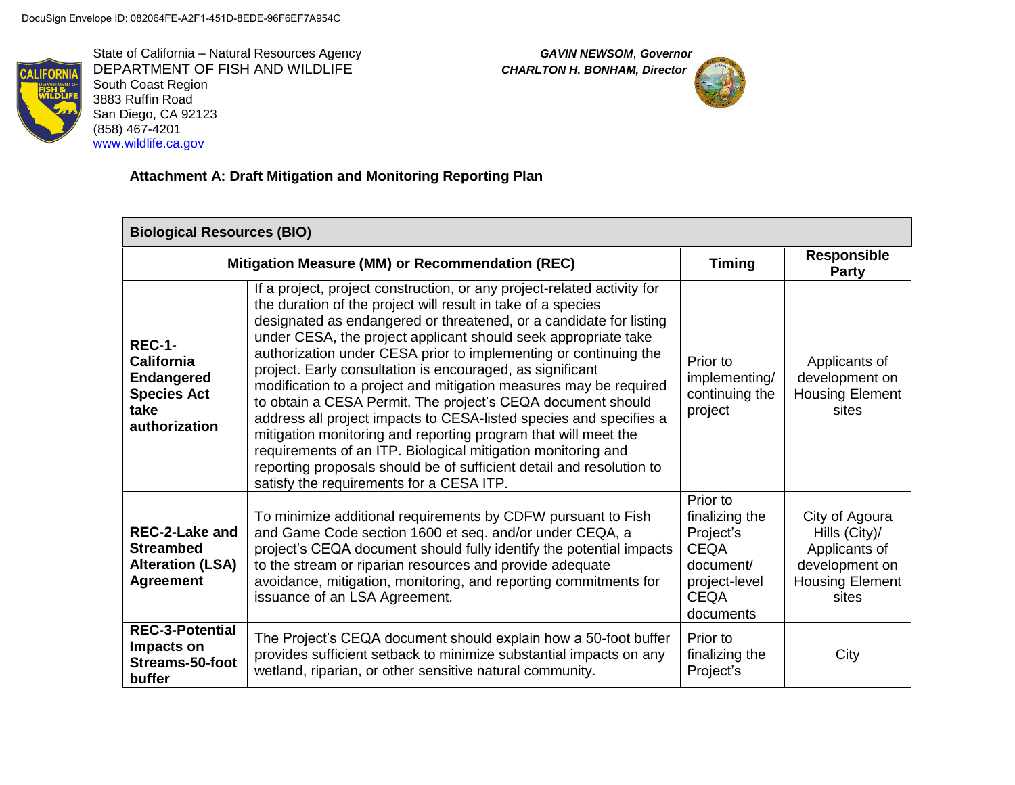State of California – Natural Resources Agency *GAVIN NEWSOM*, *Governor* DEPARTMENT OF FISH AND WILDLIFE *CHARLTON H. BONHAM, Director* South Coast Region 3883 Ruffin Road San Diego, CA 92123 (858) 467-4201 [www.wildlife.ca.gov](http://www.wildlife.ca.gov/)



# **Attachment A: Draft Mitigation and Monitoring Reporting Plan**

| <b>Biological Resources (BIO)</b>                                                               |                                                                                                                                                                                                                                                                                                                                                                                                                                                                                                                                                                                                                                                                                                                                                                                                                                                                                  |                                                                                                                  |                                                                                                       |
|-------------------------------------------------------------------------------------------------|----------------------------------------------------------------------------------------------------------------------------------------------------------------------------------------------------------------------------------------------------------------------------------------------------------------------------------------------------------------------------------------------------------------------------------------------------------------------------------------------------------------------------------------------------------------------------------------------------------------------------------------------------------------------------------------------------------------------------------------------------------------------------------------------------------------------------------------------------------------------------------|------------------------------------------------------------------------------------------------------------------|-------------------------------------------------------------------------------------------------------|
|                                                                                                 | Mitigation Measure (MM) or Recommendation (REC)                                                                                                                                                                                                                                                                                                                                                                                                                                                                                                                                                                                                                                                                                                                                                                                                                                  | <b>Timing</b>                                                                                                    | <b>Responsible</b><br>Party                                                                           |
| <b>REC-1-</b><br>California<br><b>Endangered</b><br><b>Species Act</b><br>take<br>authorization | If a project, project construction, or any project-related activity for<br>the duration of the project will result in take of a species<br>designated as endangered or threatened, or a candidate for listing<br>under CESA, the project applicant should seek appropriate take<br>authorization under CESA prior to implementing or continuing the<br>project. Early consultation is encouraged, as significant<br>modification to a project and mitigation measures may be required<br>to obtain a CESA Permit. The project's CEQA document should<br>address all project impacts to CESA-listed species and specifies a<br>mitigation monitoring and reporting program that will meet the<br>requirements of an ITP. Biological mitigation monitoring and<br>reporting proposals should be of sufficient detail and resolution to<br>satisfy the requirements for a CESA ITP. | Prior to<br>implementing/<br>continuing the<br>project                                                           | Applicants of<br>development on<br><b>Housing Element</b><br>sites                                    |
| <b>REC-2-Lake and</b><br><b>Streambed</b><br><b>Alteration (LSA)</b><br><b>Agreement</b>        | To minimize additional requirements by CDFW pursuant to Fish<br>and Game Code section 1600 et seq. and/or under CEQA, a<br>project's CEQA document should fully identify the potential impacts<br>to the stream or riparian resources and provide adequate<br>avoidance, mitigation, monitoring, and reporting commitments for<br>issuance of an LSA Agreement.                                                                                                                                                                                                                                                                                                                                                                                                                                                                                                                  | Prior to<br>finalizing the<br>Project's<br><b>CEQA</b><br>document/<br>project-level<br><b>CEQA</b><br>documents | City of Agoura<br>Hills (City)/<br>Applicants of<br>development on<br><b>Housing Element</b><br>sites |
| <b>REC-3-Potential</b><br>Impacts on<br>Streams-50-foot<br>buffer                               | The Project's CEQA document should explain how a 50-foot buffer<br>provides sufficient setback to minimize substantial impacts on any<br>wetland, riparian, or other sensitive natural community.                                                                                                                                                                                                                                                                                                                                                                                                                                                                                                                                                                                                                                                                                | Prior to<br>finalizing the<br>Project's                                                                          | City                                                                                                  |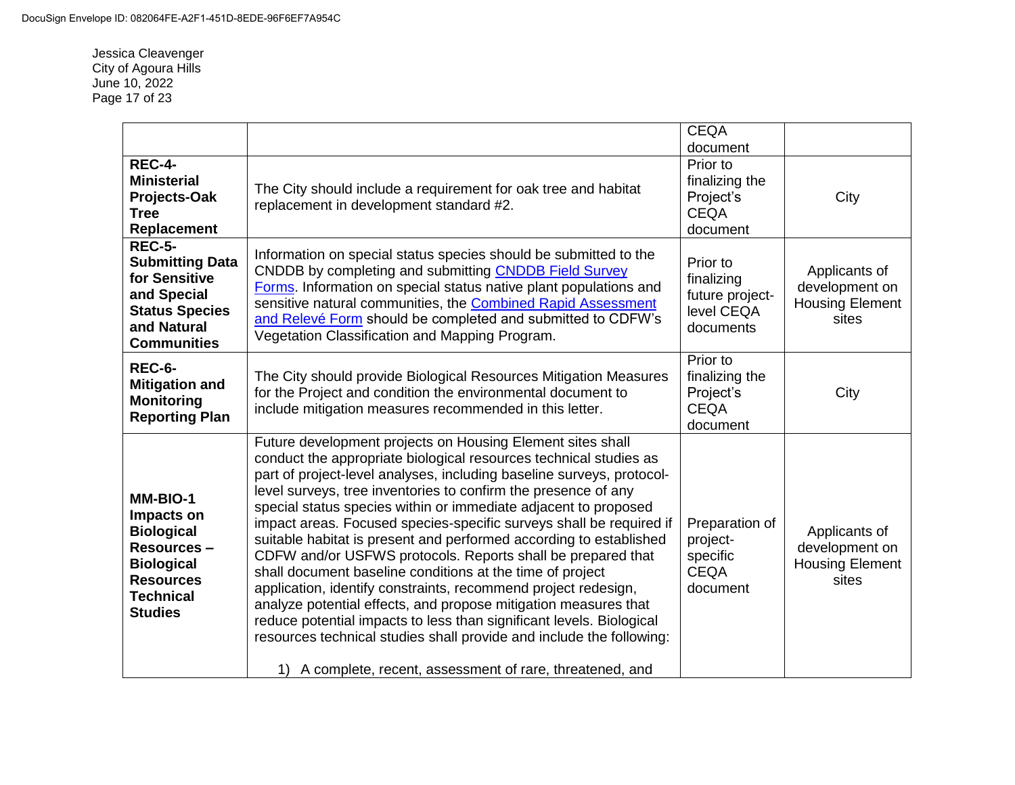Jessica Cleavenger City of Agoura Hills June 10, 2022 Page 17 of 23

|                                                                                                                                          |                                                                                                                                                                                                                                                                                                                                                                                                                                                                                                                                                                                                                                                                                                                                                                                                                                                                                                                                                                           | <b>CEQA</b><br>document                                              |                                                                    |
|------------------------------------------------------------------------------------------------------------------------------------------|---------------------------------------------------------------------------------------------------------------------------------------------------------------------------------------------------------------------------------------------------------------------------------------------------------------------------------------------------------------------------------------------------------------------------------------------------------------------------------------------------------------------------------------------------------------------------------------------------------------------------------------------------------------------------------------------------------------------------------------------------------------------------------------------------------------------------------------------------------------------------------------------------------------------------------------------------------------------------|----------------------------------------------------------------------|--------------------------------------------------------------------|
| <b>REC-4-</b><br><b>Ministerial</b><br>Projects-Oak<br><b>Tree</b><br>Replacement                                                        | The City should include a requirement for oak tree and habitat<br>replacement in development standard #2.                                                                                                                                                                                                                                                                                                                                                                                                                                                                                                                                                                                                                                                                                                                                                                                                                                                                 | Prior to<br>finalizing the<br>Project's<br><b>CEQA</b><br>document   | City                                                               |
| <b>REC-5-</b><br><b>Submitting Data</b><br>for Sensitive<br>and Special<br><b>Status Species</b><br>and Natural<br><b>Communities</b>    | Information on special status species should be submitted to the<br>CNDDB by completing and submitting CNDDB Field Survey<br>Forms. Information on special status native plant populations and<br>sensitive natural communities, the Combined Rapid Assessment<br>and Relevé Form should be completed and submitted to CDFW's<br>Vegetation Classification and Mapping Program.                                                                                                                                                                                                                                                                                                                                                                                                                                                                                                                                                                                           | Prior to<br>finalizing<br>future project-<br>level CEQA<br>documents | Applicants of<br>development on<br><b>Housing Element</b><br>sites |
| <b>REC-6-</b><br><b>Mitigation and</b><br><b>Monitoring</b><br><b>Reporting Plan</b>                                                     | The City should provide Biological Resources Mitigation Measures<br>for the Project and condition the environmental document to<br>include mitigation measures recommended in this letter.                                                                                                                                                                                                                                                                                                                                                                                                                                                                                                                                                                                                                                                                                                                                                                                | Prior to<br>finalizing the<br>Project's<br><b>CEQA</b><br>document   | City                                                               |
| MM-BIO-1<br>Impacts on<br><b>Biological</b><br>Resources-<br><b>Biological</b><br><b>Resources</b><br><b>Technical</b><br><b>Studies</b> | Future development projects on Housing Element sites shall<br>conduct the appropriate biological resources technical studies as<br>part of project-level analyses, including baseline surveys, protocol-<br>level surveys, tree inventories to confirm the presence of any<br>special status species within or immediate adjacent to proposed<br>impact areas. Focused species-specific surveys shall be required if<br>suitable habitat is present and performed according to established<br>CDFW and/or USFWS protocols. Reports shall be prepared that<br>shall document baseline conditions at the time of project<br>application, identify constraints, recommend project redesign,<br>analyze potential effects, and propose mitigation measures that<br>reduce potential impacts to less than significant levels. Biological<br>resources technical studies shall provide and include the following:<br>1) A complete, recent, assessment of rare, threatened, and | Preparation of<br>project-<br>specific<br><b>CEQA</b><br>document    | Applicants of<br>development on<br><b>Housing Element</b><br>sites |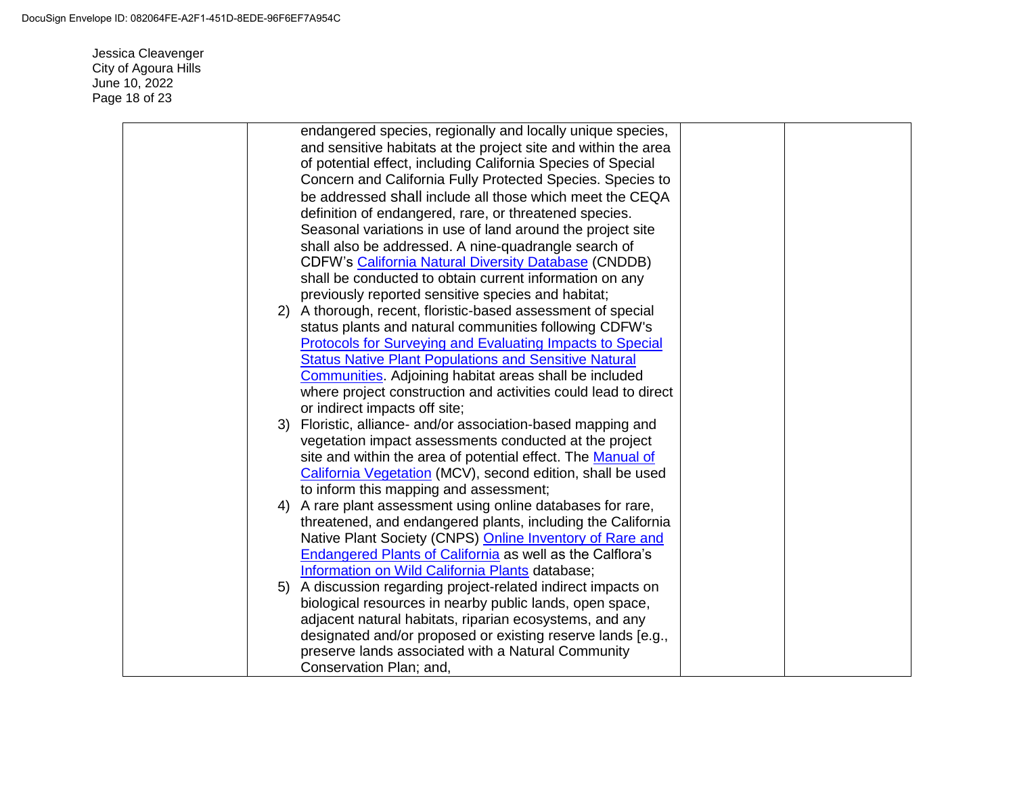Jessica Cleavenger City of Agoura Hills June 10, 2022 Page 18 of 23

| endangered species, regionally and locally unique species,       |  |
|------------------------------------------------------------------|--|
| and sensitive habitats at the project site and within the area   |  |
| of potential effect, including California Species of Special     |  |
| Concern and California Fully Protected Species. Species to       |  |
| be addressed shall include all those which meet the CEQA         |  |
| definition of endangered, rare, or threatened species.           |  |
| Seasonal variations in use of land around the project site       |  |
| shall also be addressed. A nine-quadrangle search of             |  |
| <b>CDFW's California Natural Diversity Database (CNDDB)</b>      |  |
| shall be conducted to obtain current information on any          |  |
| previously reported sensitive species and habitat;               |  |
| 2) A thorough, recent, floristic-based assessment of special     |  |
| status plants and natural communities following CDFW's           |  |
| <b>Protocols for Surveying and Evaluating Impacts to Special</b> |  |
| <b>Status Native Plant Populations and Sensitive Natural</b>     |  |
| <b>Communities</b> . Adjoining habitat areas shall be included   |  |
| where project construction and activities could lead to direct   |  |
| or indirect impacts off site;                                    |  |
| 3) Floristic, alliance- and/or association-based mapping and     |  |
| vegetation impact assessments conducted at the project           |  |
| site and within the area of potential effect. The Manual of      |  |
| California Vegetation (MCV), second edition, shall be used       |  |
| to inform this mapping and assessment;                           |  |
| 4) A rare plant assessment using online databases for rare,      |  |
| threatened, and endangered plants, including the California      |  |
| Native Plant Society (CNPS) Online Inventory of Rare and         |  |
| <b>Endangered Plants of California as well as the Calflora's</b> |  |
| Information on Wild California Plants database;                  |  |
| 5) A discussion regarding project-related indirect impacts on    |  |
| biological resources in nearby public lands, open space,         |  |
| adjacent natural habitats, riparian ecosystems, and any          |  |
| designated and/or proposed or existing reserve lands [e.g.,      |  |
| preserve lands associated with a Natural Community               |  |
| Conservation Plan; and,                                          |  |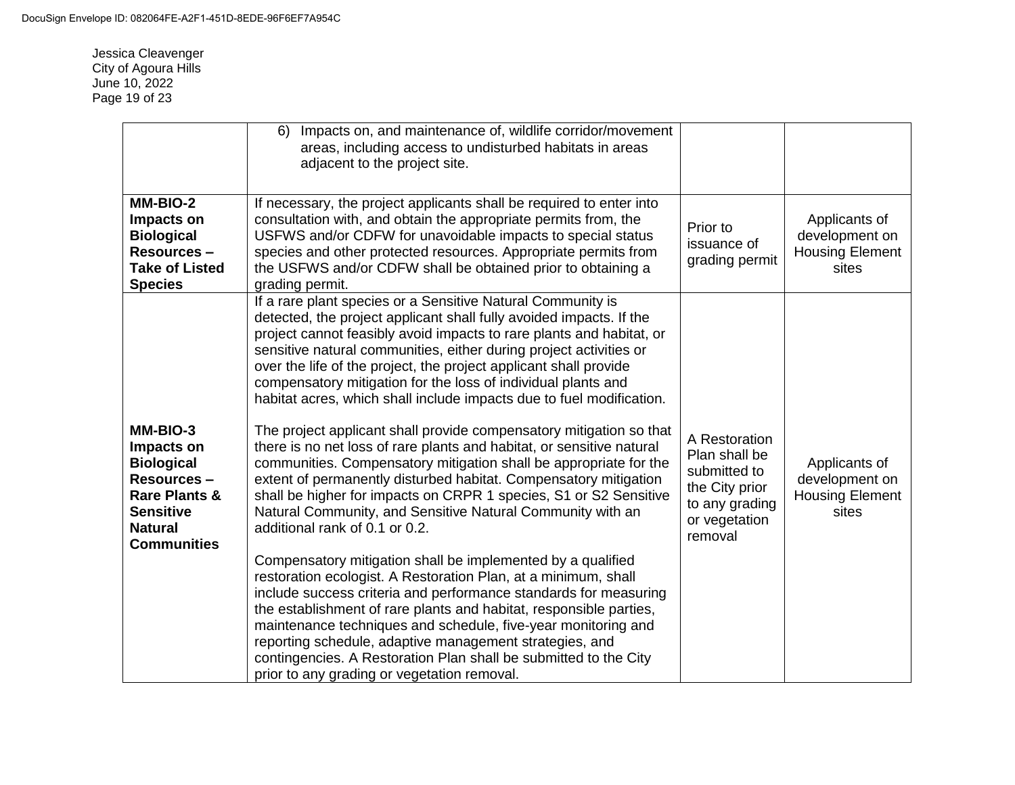Jessica Cleavenger City of Agoura Hills June 10, 2022 Page 19 of 23

|                                                                                                                                                           | Impacts on, and maintenance of, wildlife corridor/movement<br>6)<br>areas, including access to undisturbed habitats in areas<br>adjacent to the project site.                                                                                                                                                                                                                                                                                                                                                                                                                                                                                                                                                                                                                                                                                                                                                                                                                                                                                                                                                                                                                                                                                                                                                                                                                                                                                                                          |                                                                                                                |                                                                    |
|-----------------------------------------------------------------------------------------------------------------------------------------------------------|----------------------------------------------------------------------------------------------------------------------------------------------------------------------------------------------------------------------------------------------------------------------------------------------------------------------------------------------------------------------------------------------------------------------------------------------------------------------------------------------------------------------------------------------------------------------------------------------------------------------------------------------------------------------------------------------------------------------------------------------------------------------------------------------------------------------------------------------------------------------------------------------------------------------------------------------------------------------------------------------------------------------------------------------------------------------------------------------------------------------------------------------------------------------------------------------------------------------------------------------------------------------------------------------------------------------------------------------------------------------------------------------------------------------------------------------------------------------------------------|----------------------------------------------------------------------------------------------------------------|--------------------------------------------------------------------|
| MM-BIO-2<br>Impacts on<br><b>Biological</b><br>Resources-<br><b>Take of Listed</b><br><b>Species</b>                                                      | If necessary, the project applicants shall be required to enter into<br>consultation with, and obtain the appropriate permits from, the<br>USFWS and/or CDFW for unavoidable impacts to special status<br>species and other protected resources. Appropriate permits from<br>the USFWS and/or CDFW shall be obtained prior to obtaining a<br>grading permit.                                                                                                                                                                                                                                                                                                                                                                                                                                                                                                                                                                                                                                                                                                                                                                                                                                                                                                                                                                                                                                                                                                                           | Prior to<br>issuance of<br>grading permit                                                                      | Applicants of<br>development on<br><b>Housing Element</b><br>sites |
| MM-BIO-3<br>Impacts on<br><b>Biological</b><br><b>Resources -</b><br><b>Rare Plants &amp;</b><br><b>Sensitive</b><br><b>Natural</b><br><b>Communities</b> | If a rare plant species or a Sensitive Natural Community is<br>detected, the project applicant shall fully avoided impacts. If the<br>project cannot feasibly avoid impacts to rare plants and habitat, or<br>sensitive natural communities, either during project activities or<br>over the life of the project, the project applicant shall provide<br>compensatory mitigation for the loss of individual plants and<br>habitat acres, which shall include impacts due to fuel modification.<br>The project applicant shall provide compensatory mitigation so that<br>there is no net loss of rare plants and habitat, or sensitive natural<br>communities. Compensatory mitigation shall be appropriate for the<br>extent of permanently disturbed habitat. Compensatory mitigation<br>shall be higher for impacts on CRPR 1 species, S1 or S2 Sensitive<br>Natural Community, and Sensitive Natural Community with an<br>additional rank of 0.1 or 0.2.<br>Compensatory mitigation shall be implemented by a qualified<br>restoration ecologist. A Restoration Plan, at a minimum, shall<br>include success criteria and performance standards for measuring<br>the establishment of rare plants and habitat, responsible parties,<br>maintenance techniques and schedule, five-year monitoring and<br>reporting schedule, adaptive management strategies, and<br>contingencies. A Restoration Plan shall be submitted to the City<br>prior to any grading or vegetation removal. | A Restoration<br>Plan shall be<br>submitted to<br>the City prior<br>to any grading<br>or vegetation<br>removal | Applicants of<br>development on<br><b>Housing Element</b><br>sites |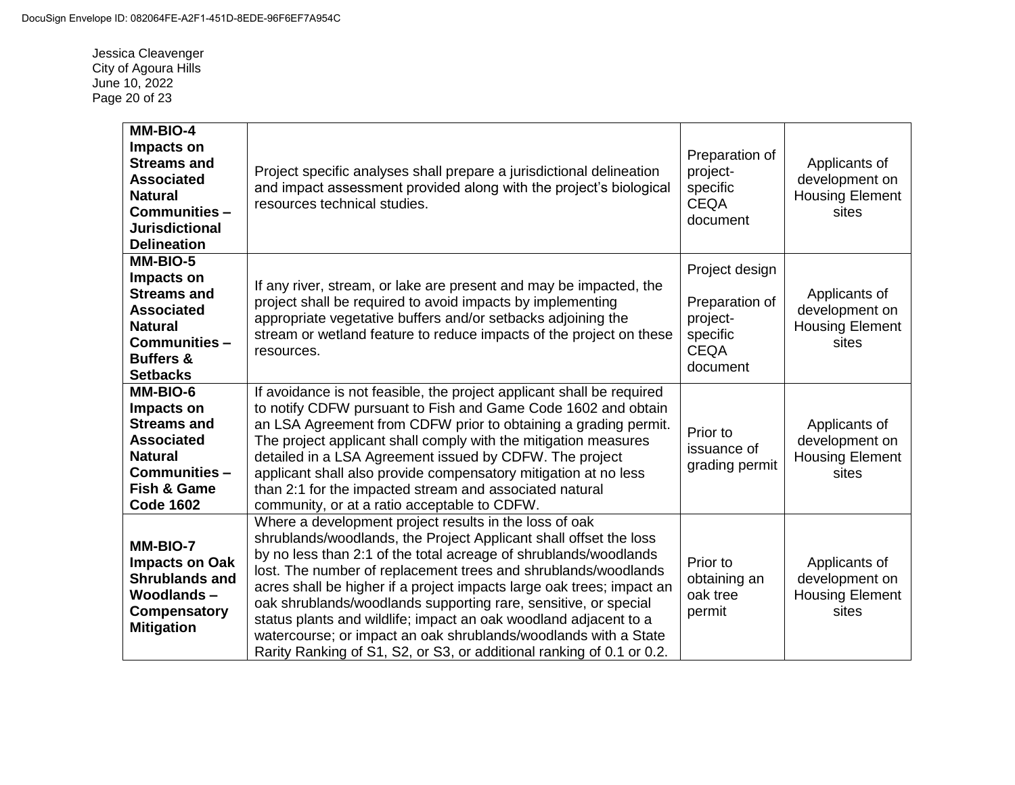Jessica Cleavenger City of Agoura Hills June 10, 2022 Page 20 of 23

| MM-BIO-4<br>Impacts on<br><b>Streams and</b><br><b>Associated</b><br><b>Natural</b><br>Communities -<br><b>Jurisdictional</b><br><b>Delineation</b> | Project specific analyses shall prepare a jurisdictional delineation<br>and impact assessment provided along with the project's biological<br>resources technical studies.                                                                                                                                                                                                                                                                                                                                                                                                                                                    | Preparation of<br>project-<br>specific<br><b>CEQA</b><br>document                   | Applicants of<br>development on<br><b>Housing Element</b><br>sites |
|-----------------------------------------------------------------------------------------------------------------------------------------------------|-------------------------------------------------------------------------------------------------------------------------------------------------------------------------------------------------------------------------------------------------------------------------------------------------------------------------------------------------------------------------------------------------------------------------------------------------------------------------------------------------------------------------------------------------------------------------------------------------------------------------------|-------------------------------------------------------------------------------------|--------------------------------------------------------------------|
| MM-BIO-5<br>Impacts on<br><b>Streams and</b><br><b>Associated</b><br><b>Natural</b><br>Communities -<br><b>Buffers &amp;</b><br><b>Setbacks</b>     | If any river, stream, or lake are present and may be impacted, the<br>project shall be required to avoid impacts by implementing<br>appropriate vegetative buffers and/or setbacks adjoining the<br>stream or wetland feature to reduce impacts of the project on these<br>resources.                                                                                                                                                                                                                                                                                                                                         | Project design<br>Preparation of<br>project-<br>specific<br><b>CEQA</b><br>document | Applicants of<br>development on<br><b>Housing Element</b><br>sites |
| MM-BIO-6<br>Impacts on<br><b>Streams and</b><br><b>Associated</b><br><b>Natural</b><br>Communities-<br><b>Fish &amp; Game</b><br><b>Code 1602</b>   | If avoidance is not feasible, the project applicant shall be required<br>to notify CDFW pursuant to Fish and Game Code 1602 and obtain<br>an LSA Agreement from CDFW prior to obtaining a grading permit.<br>The project applicant shall comply with the mitigation measures<br>detailed in a LSA Agreement issued by CDFW. The project<br>applicant shall also provide compensatory mitigation at no less<br>than 2:1 for the impacted stream and associated natural<br>community, or at a ratio acceptable to CDFW.                                                                                                         | Prior to<br>issuance of<br>grading permit                                           | Applicants of<br>development on<br><b>Housing Element</b><br>sites |
| MM-BIO-7<br><b>Impacts on Oak</b><br><b>Shrublands and</b><br><b>Woodlands-</b><br>Compensatory<br><b>Mitigation</b>                                | Where a development project results in the loss of oak<br>shrublands/woodlands, the Project Applicant shall offset the loss<br>by no less than 2:1 of the total acreage of shrublands/woodlands<br>lost. The number of replacement trees and shrublands/woodlands<br>acres shall be higher if a project impacts large oak trees; impact an<br>oak shrublands/woodlands supporting rare, sensitive, or special<br>status plants and wildlife; impact an oak woodland adjacent to a<br>watercourse; or impact an oak shrublands/woodlands with a State<br>Rarity Ranking of S1, S2, or S3, or additional ranking of 0.1 or 0.2. | Prior to<br>obtaining an<br>oak tree<br>permit                                      | Applicants of<br>development on<br><b>Housing Element</b><br>sites |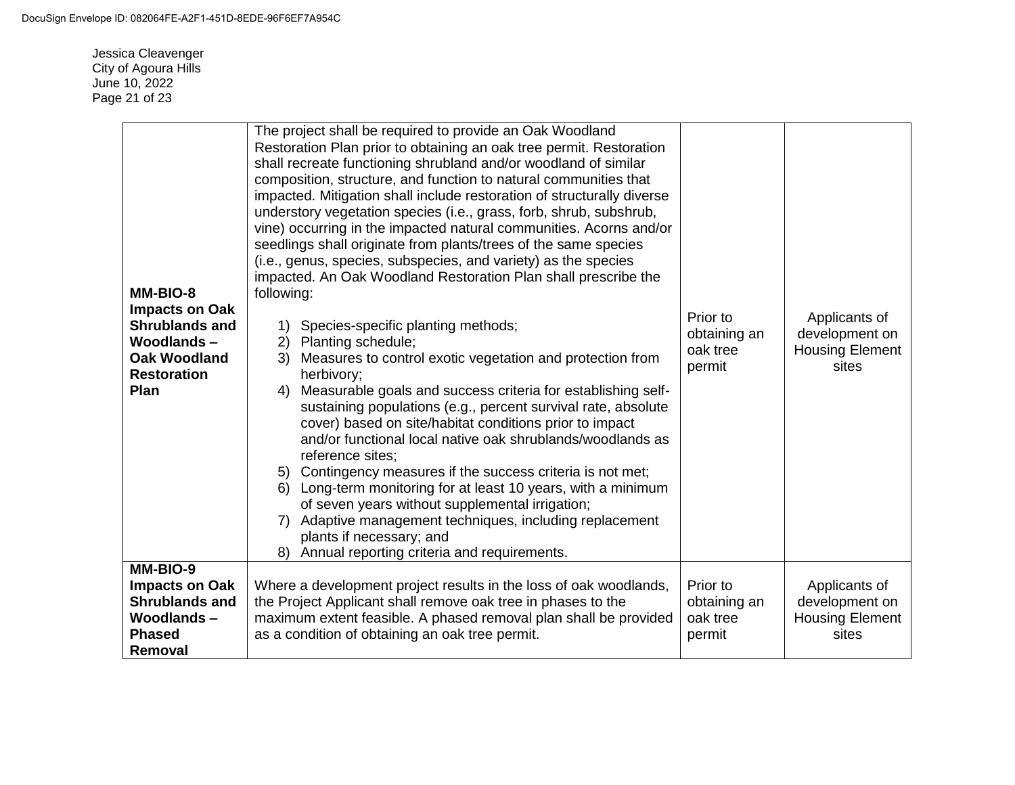Jessica Cleavenger City of Agoura Hills June 10, 2022 Page 21 of 23

| MM-BIO-8<br><b>Impacts on Oak</b><br><b>Shrublands and</b><br>Woodlands-<br><b>Oak Woodland</b><br><b>Restoration</b><br>Plan | The project shall be required to provide an Oak Woodland<br>Restoration Plan prior to obtaining an oak tree permit. Restoration<br>shall recreate functioning shrubland and/or woodland of similar<br>composition, structure, and function to natural communities that<br>impacted. Mitigation shall include restoration of structurally diverse<br>understory vegetation species (i.e., grass, forb, shrub, subshrub,<br>vine) occurring in the impacted natural communities. Acorns and/or<br>seedlings shall originate from plants/trees of the same species<br>(i.e., genus, species, subspecies, and variety) as the species<br>impacted. An Oak Woodland Restoration Plan shall prescribe the<br>following:<br>1) Species-specific planting methods;<br>2) Planting schedule;<br>Measures to control exotic vegetation and protection from<br>3)<br>herbivory;<br>Measurable goals and success criteria for establishing self-<br>4)<br>sustaining populations (e.g., percent survival rate, absolute<br>cover) based on site/habitat conditions prior to impact<br>and/or functional local native oak shrublands/woodlands as<br>reference sites:<br>5) Contingency measures if the success criteria is not met;<br>Long-term monitoring for at least 10 years, with a minimum<br>6)<br>of seven years without supplemental irrigation;<br>7) Adaptive management techniques, including replacement<br>plants if necessary; and<br>8) Annual reporting criteria and requirements. | Prior to<br>obtaining an<br>oak tree<br>permit | Applicants of<br>development on<br><b>Housing Element</b><br>sites |
|-------------------------------------------------------------------------------------------------------------------------------|------------------------------------------------------------------------------------------------------------------------------------------------------------------------------------------------------------------------------------------------------------------------------------------------------------------------------------------------------------------------------------------------------------------------------------------------------------------------------------------------------------------------------------------------------------------------------------------------------------------------------------------------------------------------------------------------------------------------------------------------------------------------------------------------------------------------------------------------------------------------------------------------------------------------------------------------------------------------------------------------------------------------------------------------------------------------------------------------------------------------------------------------------------------------------------------------------------------------------------------------------------------------------------------------------------------------------------------------------------------------------------------------------------------------------------------------------------------------------------------|------------------------------------------------|--------------------------------------------------------------------|
| MM-BIO-9<br><b>Impacts on Oak</b><br><b>Shrublands and</b><br><b>Woodlands-</b><br><b>Phased</b><br>Removal                   | Where a development project results in the loss of oak woodlands,<br>the Project Applicant shall remove oak tree in phases to the<br>maximum extent feasible. A phased removal plan shall be provided<br>as a condition of obtaining an oak tree permit.                                                                                                                                                                                                                                                                                                                                                                                                                                                                                                                                                                                                                                                                                                                                                                                                                                                                                                                                                                                                                                                                                                                                                                                                                                 | Prior to<br>obtaining an<br>oak tree<br>permit | Applicants of<br>development on<br><b>Housing Element</b><br>sites |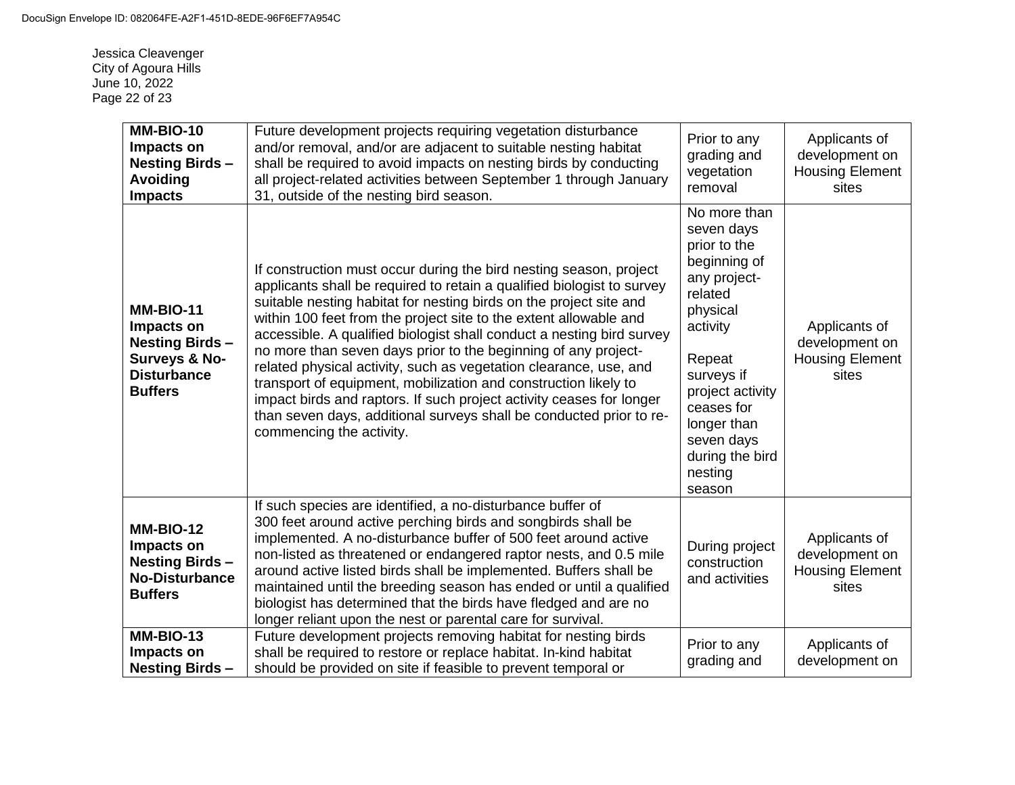Jessica Cleavenger City of Agoura Hills June 10, 2022 Page 22 of 23

| MM-BIO-10<br>Impacts on<br><b>Nesting Birds-</b><br>Avoiding<br><b>Impacts</b>                                   | Future development projects requiring vegetation disturbance<br>and/or removal, and/or are adjacent to suitable nesting habitat<br>shall be required to avoid impacts on nesting birds by conducting<br>all project-related activities between September 1 through January<br>31, outside of the nesting bird season.                                                                                                                                                                                                                                                                                                                                                                                                                                 | Prior to any<br>grading and<br>vegetation<br>removal                                                                                                                                                                                         | Applicants of<br>development on<br><b>Housing Element</b><br>sites |
|------------------------------------------------------------------------------------------------------------------|-------------------------------------------------------------------------------------------------------------------------------------------------------------------------------------------------------------------------------------------------------------------------------------------------------------------------------------------------------------------------------------------------------------------------------------------------------------------------------------------------------------------------------------------------------------------------------------------------------------------------------------------------------------------------------------------------------------------------------------------------------|----------------------------------------------------------------------------------------------------------------------------------------------------------------------------------------------------------------------------------------------|--------------------------------------------------------------------|
| <b>MM-BIO-11</b><br>Impacts on<br><b>Nesting Birds-</b><br>Surveys & No-<br><b>Disturbance</b><br><b>Buffers</b> | If construction must occur during the bird nesting season, project<br>applicants shall be required to retain a qualified biologist to survey<br>suitable nesting habitat for nesting birds on the project site and<br>within 100 feet from the project site to the extent allowable and<br>accessible. A qualified biologist shall conduct a nesting bird survey<br>no more than seven days prior to the beginning of any project-<br>related physical activity, such as vegetation clearance, use, and<br>transport of equipment, mobilization and construction likely to<br>impact birds and raptors. If such project activity ceases for longer<br>than seven days, additional surveys shall be conducted prior to re-<br>commencing the activity. | No more than<br>seven days<br>prior to the<br>beginning of<br>any project-<br>related<br>physical<br>activity<br>Repeat<br>surveys if<br>project activity<br>ceases for<br>longer than<br>seven days<br>during the bird<br>nesting<br>season | Applicants of<br>development on<br><b>Housing Element</b><br>sites |
| <b>MM-BIO-12</b><br>Impacts on<br><b>Nesting Birds-</b><br><b>No-Disturbance</b><br><b>Buffers</b>               | If such species are identified, a no-disturbance buffer of<br>300 feet around active perching birds and songbirds shall be<br>implemented. A no-disturbance buffer of 500 feet around active<br>non-listed as threatened or endangered raptor nests, and 0.5 mile<br>around active listed birds shall be implemented. Buffers shall be<br>maintained until the breeding season has ended or until a qualified<br>biologist has determined that the birds have fledged and are no<br>longer reliant upon the nest or parental care for survival.                                                                                                                                                                                                       | During project<br>construction<br>and activities                                                                                                                                                                                             | Applicants of<br>development on<br><b>Housing Element</b><br>sites |
| <b>MM-BIO-13</b><br>Impacts on<br><b>Nesting Birds-</b>                                                          | Future development projects removing habitat for nesting birds<br>shall be required to restore or replace habitat. In-kind habitat<br>should be provided on site if feasible to prevent temporal or                                                                                                                                                                                                                                                                                                                                                                                                                                                                                                                                                   | Prior to any<br>grading and                                                                                                                                                                                                                  | Applicants of<br>development on                                    |